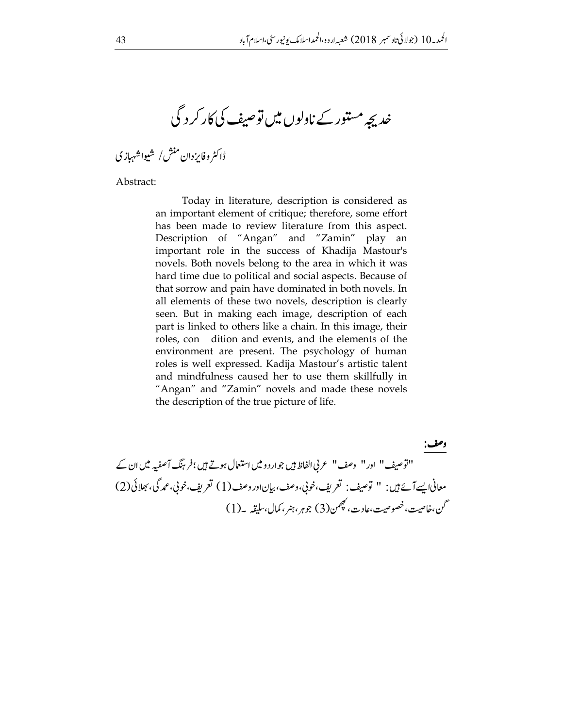خدیجہ مستور کے ناولوں میں توصیف کی کار کر د گی

ڈاکٹروفایزدان منش/ شیواشہبازی

Abstract:

Today in literature, description is considered as an important element of critique; therefore, some effort has been made to review literature from this aspect. Description of "Angan" and "Zamin" play an important role in the success of Khadija Mastour's novels. Both novels belong to the area in which it was hard time due to political and social aspects. Because of that sorrow and pain have dominated in both novels. In all elements of these two novels, description is clearly seen. But in making each image, description of each part is linked to others like a chain. In this image, their roles, con dition and events, and the elements of the environment are present. The psychology of human roles is well expressed. Kadija Mastour's artistic talent and mindfulness caused her to use them skillfully in "Angan" and "Zamin" novels and made these novels the description of the true picture of life.

وصف: "اتوصيف" اور" وصف" عربي الفاظ بين جوارد و ميں استعمال ہوتے ہيں ؛فربِنگ آصفیہ ميں ان کے معاني ايسے آئے ہيں: " توصيف: تعريف،خوبي،وصف،بيان اور وصف(1) تعريف،خوبي،عمد گي، بھلائي (2) گن،خاصیت، خصوصیت،عادت، کچھمن(3) جوہر ،ہنر ، کمال،سلیقیر ۔(1)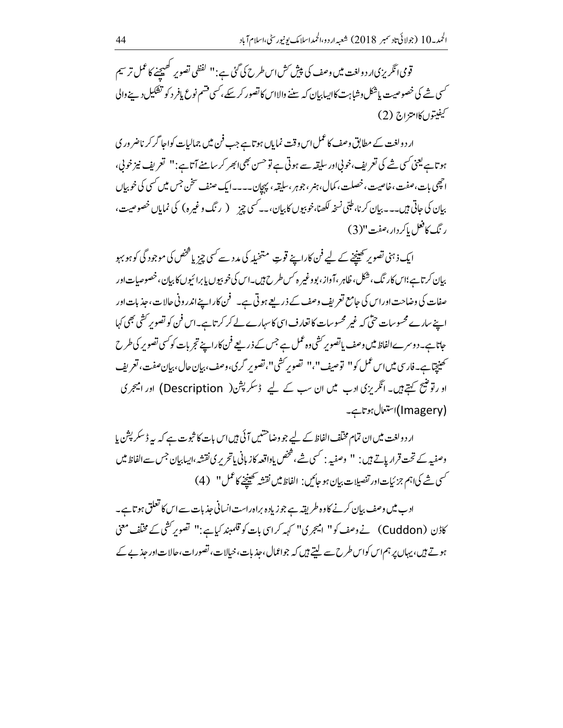قومی انگریزی <sub>ا</sub>ر دول<sub>خت</sub> میں وصف کی پیش <sup>کش</sup> اس طرح کی گئی ہے :" گفظی تصویر کھیجنے کا عمل تر سیم <sup>کس</sup>ی شے کی خصوصیت یاشکل وشاہت کااپیابیان کہ سننے والااس کا تصور کر سکے ،<sup>کس</sup>ی قشم نوع یافر د کو تفکیل دینے والی كيفيتوں كاامتزاج (2)

ار د ولغت کے مطابق وصف کا عمل اس وقت نمایاں ہو تاہے جب فن میں جمالیات کواحا گر کر ناضر ور ک ہوتاہے یعنی کسی شے کی تعریف،خوبی اور سلیقہ سے ہوتی ہے تو حسن بھی ابھر کر سامنے آتاہے :" تعریف نیز خوبی، احچی بات،صفت،خاصیت،خصلت، کمال، ہنر ،جوہر ،سلیقہ ، پہچان۔۔۔۔ایک صنف سخن جس میں کسی کی خوبیاں بیان کی حاتی ہیں۔۔۔بیان کر نا، طبّی نسخہ لکھنا،خوبیوں کابیان،۔۔کسی چزید ( رنگ وغیر ہ) کی نمایاں خصوصیت، رنگ کافعل پاکر دار،مفت"(3)

ایک ذہنی تصویر کھینچنے کے لیے فن کاراپنے قوتِ متخیلہ کی مدد سے کسی چیز یا څخص کی موجود گی کوہو بہو بیان کرتاہے؛اس کار نگ ،شکل،خلابی آواز،بووغیر ہ کس طرح ہیں۔اس کی خوبیوں پابرائیوں کا بیان،خصوصات اور صفات کی وضاحت اوراس کی جامع تعریف وصف کے ذریعے ہوتی ہے۔ فمن کار اپنے اندرونی حالات، جذبات اور اپنے سارے محسوسات حتی کہ غیر محسوسات کا تعارف اسی کاسہارے لے کر کرتا ہے۔اس فن کو تصویر کشی بھی کہا حاتا ہے۔دوسرےالفاظ میں وصف پاتصو پر کشی وہ عمل ہے جس کے ذریعے فن کاراپنے تجربات کو کسی تصویر کی طرح سمنیچیاہے۔فارسی میں اس عمل کو'' توصیف ''،'' تصویر کشی''، تصویر گری،وصف،بیان حال،بیان صفت، تعریف او رتوشیح کہتے ہیں۔ انگریزی ادب میں ان سب کے لیے ڈسکرپشن( Description) اور امیجری (Imagery)استعال ہوتاہے۔

ار دولغت میں ان تمام مختلف الفاظ کے لیے جو وضاحتیں آ ئی ہیں اس بات کا ثبوت ہے کہ یہ ڈسکر پشن یا وصفیہ کے تحت قرار پاتے ہیں : " وصفیہ : کسی شے ، څخص یاداقعہ کاز بانی یاتحریر کی نقشہ ،ایسابیان جس سے الفاظ میں كسي شركياہم جزئيات اور تفصيلات بيان ہو جائيں: الفاظ ميں نقشہ تحقيخے كاعمل'' (4)

ادب میں وصف بیان کرنے کا وہ طریقہ ہے جو زیادہ براہ راست انسانی جذبات سے اس کا تعلق ہو تاہے۔ کاڈن (Cuddon) نے وصف کو " امیجری" کہہ کراسی بات کو قلمبند کیاہے:" تصویر کشی کے مخلف معنی ہوتے ہیں، یہاں پر ہم اس کواس طرح سے لیتے ہیں کہ جواعمال، جذبات، خیالات، تصورات،حالات اور جذبے کے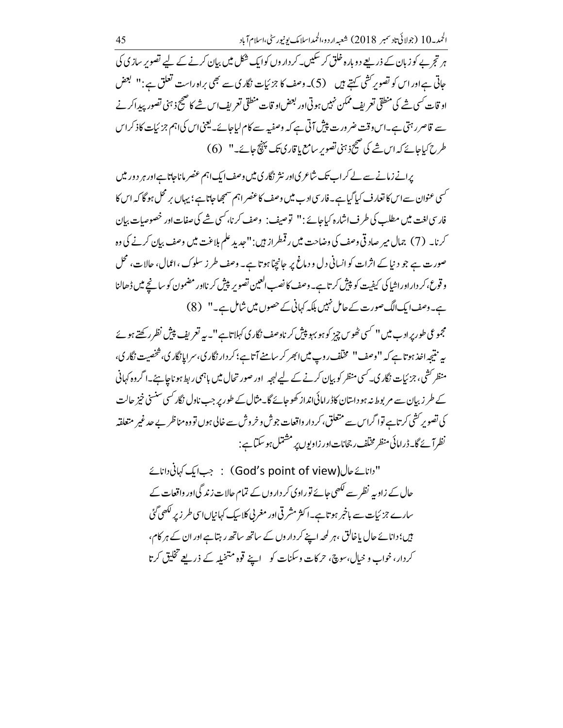ہر تجربے کو زبان کے ذریعے دوبارہ خلق کر سکیں۔ کر داروں کوایک شکل میں بیان کرنے کے لیے تصویر سازی کی حاتی ہے اور اس کو تصویر کشی کہتے ہیں ۔ (5)۔ وصف کا جزئیات نگاری سے بھی براہ راست تعلق ہے:" گبھض او قات کسی شے کی منطقی تعریف ممکن نہیں ہوتی اور بعض او قات منطقی تعریف اس شے کا صحیح ذہنی تصور پیدا کرنے سے قاصررہتی ہے۔اس وقت ضرورت پیش آتی ہے کہ وصفیہ سے کام لیاجائے۔لیحنیاس کیاہم جزئیات کاذکراس طرح كياحائے كہ اس شے كى صحيح ذہنى تصويرِ سامع يا قارى تك پہنچ جائے۔" (6)

یرانے زمانے سے لے کراب تک شاعر کیاور نثر نگار کی میں وصف ایک اہم عنصر ماناجاتا ہےاور ہر دور میں ۔<br>سمی عنوان سے اس کا تعارف کی<u>ا گیا ہ</u>ے۔ فارسی اد ب میں وصف کا عنصر اہم سمجھا جاتا ہے ؛ یہاں بر محل ہو گا کہ اس کا فار سی لغت میں مطلب کی طرف اشارہ کیاجائے :" توصیف : وصف کرنا، کسی شے کی صفات اور خصوصیات بیان کرنا۔ (7) جمال میر صاد قی وصف کی وضاحت میں رقمطراز ہیں :"جدید علم بلاغت میں وصف بیان کرنے کی وہ صورت ہے جو دنیا کے اثرات کو انسانی دل و دماغ پر جانچا ہوتا ہے۔ وصف طر ز سلوک ، اعمال، جالات، محل و قوع، کر دار اور اشیا کی کیفیت کو پیش کرتاہے۔ وصف کا نصب العین تصویر پیش کر نااور مضمون کو سانجے میں ڈھالنا ہے۔وصف ایک الگ صورت کے حامل نہیں بلکہ کہانی کے حصوں میں شامل ہے۔" (8)

مجموعی طور پرادب میں'' کسی ٹھوس چیز کو ہو بہو پیش کر ناوصف نگار کی کہلاتاہے''۔پہ تعریف پیش نظرر کھتے ہوئے پہ نتیجہ اخذ ہوتاہے کہ "وصف" مخلّف روپ میں ابھر کر سامنے آتاہے؛ کر دار نگار کی، سرایانگار کی، شخصیت نگار کی، منظر کشی، جزئیات نگاری۔کسی منظر کو بیان کرنے کے لیے لہجہ اور صور تحال میں باہمی ربط ہو ناجاہئے۔ا گروہ کہانی کے طر زبیان سے مر بوط نہ ہو داستان کاڈرامائی انداز کھوجائے گا۔مثال کے طور پر جب ناول نگار کسی سنسنی خیز جالت کی تصویر کشی کرتاہے توا گراس سے متعلق، کر دار واقعات جوش و خروش سے خالی ہوں تووہ مناظر بے حد غیر متعلقہ نظر آئے گا۔ڈرامائی منظر مخلف رجحانات اور زاویوں پر مشتمل ہو سکتا ہے :

"دانائے حال(God's point of view) : جب ایک کہانی دانائے حال کے زاویہ نظر سے لکھی جائے توراوی کر داروں کے تمام حالات زند گی اور واقعات کے سارے جزئیات سے باخبر ہوتاہے۔اکثر مشرقی اور مغربی کلاسیک کہانیاںاسی طر زیر لکھی گئی ہیں؛ دانائے جال باخالق ، ہر لمحہ اپنے کر داروں کے ساتھ ساتھ رہتاہے اور ان کے ہر کام، کردار، خواب و خیال،سوچ، حرکات وسکنات کو \_اپنے قوہ متخیلہ کے ذریعے تخلیق کرتا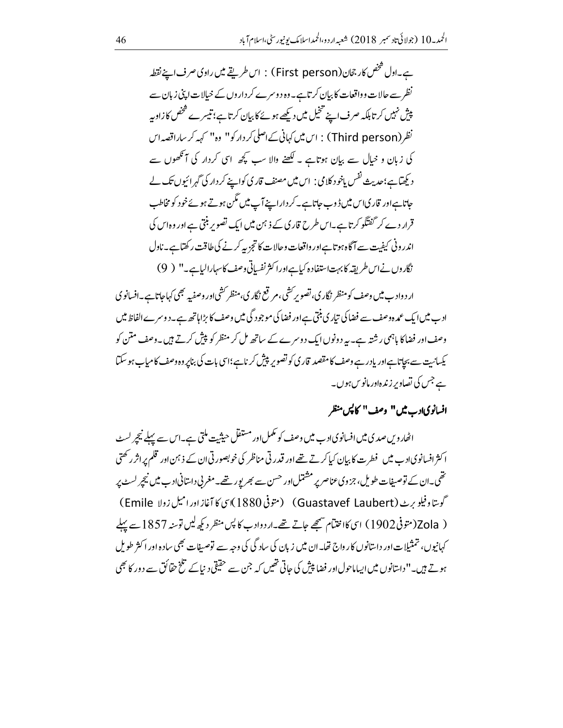ہے۔اول شخص کار جحان(First person) : اس طریقے میں راوی صرف اپنے نقطہ نظر سے حالات و واقعات کا بیان کرتاہے۔ وہ د وسرے کر داروں کے خیالات اپنی زیان سے پیش نہیں کرتا بلکہ صرف اپنے تخیل میں دیکھے ہوئے کا بیان کرتاہے؛ تیسرے شخص کازاویہ نظر (Third person) : اس میں کہانی کےاصلی کردار کو'' وہ'' کہہ کرساراقصہ اس کی زبان و خیال سے بیان ہوتاہے ۔ لکھنے والا سب کچھ اسی کردار کی آنکھوں سے دیکھاہے؛حدیث نفس یاخود کلامی : اس میں مصنف قاری کواپنے کر دار کی گہرائیوں تک لے جاتا ہےاور قار کیا<sup>س</sup> میں ڈوب جاتا ہے۔ کر داراپینے آپ میں مگن ہوتے ہوئے خود کو مخاطب قرار دے کر گفتگو کرتا ہے۔اس طرح قاری کے ذہن میں ایک تصویر بنتی ہے اور وہاس کی اندر ونی کیفیت سے آگاہ ہوتاہےاور واقعات وحالات کا تجزیہ کرنے کی طاقت رکھتاہے۔ناول نگاروں نےاس طریقہ کابہت استفادہ کیاہےاورا کثر نفساتی وصف کاسہارالیاہے۔" ( 9)

ار د واد ب میں وصف کو منظر نگار ی، تصویر کشی، مرتع نگار ی، منظر کشی اور وصفیہ بھی کہاجاتا ہے۔افسانوی اد ب میں ایک عمد ہ وصف سے فضا کی تیار ی بنتی ہے اور فضا کی موجود گی میں وصف کا بڑا ہاتھ ہے۔ د وسر ےالفاظ میں وصف اور فضاکا باہمی رشتہ ہے۔ یہ دونوں ایک دوسرے کے ساتھ مل کر منظر کو پیش کرتے ہیں۔وصف متن کو یکسانیت سے بجاتا ہےاور یادرے وصف کامقصد قار کی کو تصویر پیش کرناہے؛اسی بات کی بناپر وہ وصف کامیاب ہو سکتا ہے جس کی تصاویر زندہاور مانویں ہوں۔

### افسانویادب میں" وصف" کاپس منظر

اٹھاروس صدی میں افسانوی ادے میں وصف کو مکمل اور مستقل حیثیت ملتی ہے۔اس سے پہلے نیچر لسٹ ا کثر افسانوی ادب میں فطرت کا بیان کیا کرتے تھے اور قدرتی مناظر کی خوبصورتی ان کے ذہن اور قلم پر اثر رکھتی تھی۔ان کے توصیفات طویل، جزوی عناصر پر مشتمل اور حسن سے بھر یور تھے۔مغربی داستانی ادب میں نیچر لسٹ پر گوستاوفیلو برٹ (Guastavef Laubert) (متوفی 1880)اسی کا آغاز اور امیل زولا Emile ) ( 20la(متوفي 1902) اي كااختتام شمجھے جاتے تھے۔اردوادب كاپس منظر ديكھ ليں توسنہ 1857 سے پہلے کہانیوں، تمثیلات اور داستانوں کا رواج تھا۔ان میں زبان کی ساد گی کی وجہ سے توصیفات بھی سادہ اور اکثر طویل ہوتے ہیں۔''داستانوں میں ایساماحول اور فضا پیش کی حاتی تھیں کہ جن سے حقیقی د نیا کے تلخ حقائق سے دور کا بھی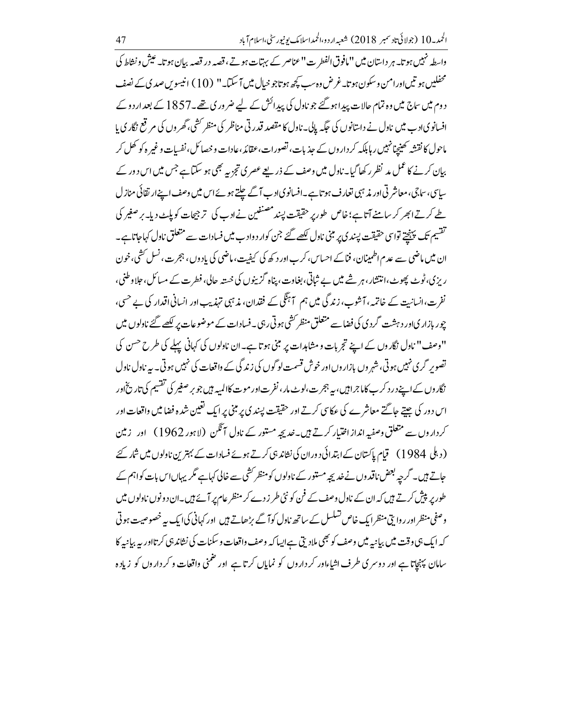واسطہ نہیں ہوتا۔ ہر داستان میں "مافوق الفطر ت" عناصر کے بہتات ہوتے، قصہ در قصہ بیان ہوتا۔ عیش و نشاط کی محفلیں ہو تیں اور امن وسکون ہوتا۔غرض وہ سب کچھ ہوتاجو خیال میں آ سکتا۔" (10) انیسوس صدی کے نصف دوم میں ساج میں وہ تمام حالات پیدا ہو گئے جو ناول کی پیدائش کے لیے ضر وری تھے۔1857 کے بعد ار دو کے افسانوی <sub>ا</sub>د ب میں ناول نے داستانوں کی جگہ پالی۔ ناول کا مقصد قدرتی مناظر کی منظر <sup>کشی ب</sup>ھر وں کی مرضح نگاری با ماحول کا نقشہ تھینچا نہیں رہا ہلکہ کر داروں کے جذبات، تصورات،عقائد،عادات و خصائل، نفسات و غیر ہ کو کھل کر بیان کرنے کا عمل مد نظر رکھا گیا۔ناول میں وصف کے ذریعے عصری تجزیہ بھی ہو سکتا ہے جس میں اس دور کے ساسی، ساجی، معاشر تی اور مذہبی تعارف ہو تاہے۔افسانویادے آگے چلتے ہوئے اس میں وصف اپنےار تقائی منازل طے کرتے ابھر کر سامنے آتاہے؛ خاص طور پر حقیقت پسند مصنفین نے ادب کی ترجیجات کو پاپ پہ یا پر صغیر کی تقسیم تک پینچتے تواسی حقیقت پسند ی پر مبنی ناول لکھے گئے جن کوار دوادب میں فسادات سے متعلق ناول کہاجاتاہے۔ ان میں ماضی سے عدم اطمینان، فناکے احساس، کرب اور د کھ کی کیفیت،ماضی کی یاد وں ، ہجرت، نسل کشی، خون ریزی،ٹوٹ پھوٹ،انتشار،ہر شے میں بے ثباتی،بغاوت، پناہ گزینوں کی خستہ حالی، فطرت کے مسائل، جلا وطنی، نفرت،انسانیت کے خاتمہ، آشوب، زند گی میں ہم آہنگی کے فقدان، مذہبی تہذیب اور انسانی اقدار کی بے حسی، چور بازار کی اور دہشت گردی کی فضاسے متعلق منظر <sup>ک</sup>شی ہو تی رہی۔ فسادات کے موضوعات پر لکھے گئے ناولوں میں "وصف" ناول نگاروں کے اپنے تجربات و مشاہدات پر مبنی ہوتا ہے۔ان ناولوں کی کہانی پہلے کی طرح حسن کی تصویر گری نہیں ہوتی، شہر وں بازاروں اور خوش قسمت لو گوں کی زند گی کے واقعات کی نہیں ہوتی۔ یہ ناول ناول نگار وں کے اپنے در د کر ب کاما جراثیں، بیہ ہجر ت،لوٹ مار ، نفرت اور موت کاالمیہ بیں جو بر صغیر کی تقسیم کی تاریخ اور اس دور کی جیتے جاگتے معاشرے کی عکاسی کرتے اور حقیقت پسند کی پر مبنی پر ایک تعیین شدہ فضا میں واقعات اور کرداروں سے متعلق وصفیہ انداز اختیار کرتے ہیں۔خدیجہ مستور کے ناول آٹکن (لاہور 1962) اور زمین (دبلی 1984) قیام پاکستان کے ابتدائی دوران کی نشاند ہی کرتے ہوئے فسادات کے بہترین ناولوں میں شار کئے حاتے ہیں۔ گرچہ بعض ناقدوں نے خدیجہ مستور کے ناولوں کومنظر کشی سے خالی کہاہے مگر یہاںاس بات کواہم کے طور پر پیش کرتے ہیں کہ ان کے ناول وصف کے فن کو نئی طر زدے کر منظر عام پر آ ئے ہیں۔ان دونوں ناولوں میں وصفی منظراور روایتی منظرایک خاص تسلسل کے ساتھ ناول کوآ گے بڑھاتے ہیں اور کہانی کیا یک بہ خصوصیت ہوتی کہ ایک ہی وقت میں بیانیہ میں وصف کو بھی ملاد بی ہے ایسا کہ وصف واقعات و سکنات کی نشاند ہی کر تااور ہہ بیانیہ کا سامان پہنچاتا ہے اور دوسری طرف اشیاءاور کرداروں کو نمایاں کرتا ہے اور حنمنی واقعات و کرداروں کو زیادہ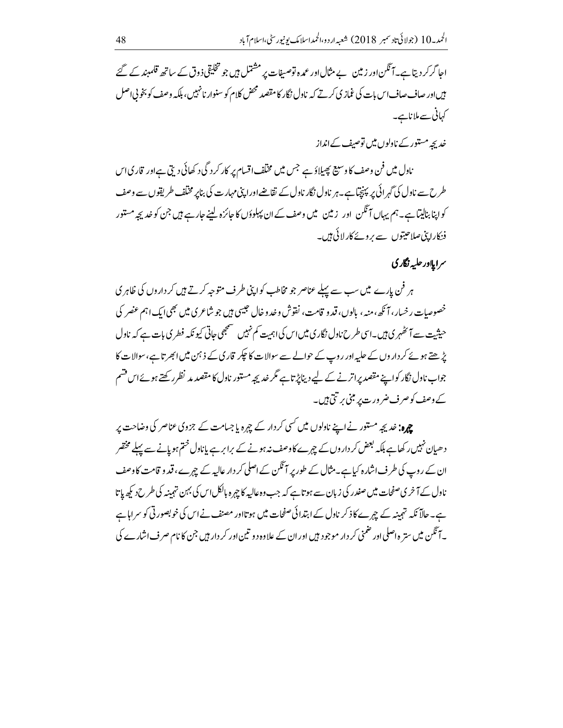احا گر کر دیتا ہے۔آنگن اور زمین بے مثال اور عمد ہ توصیفات پر مشتمل ہیں جو تخلیقی ذ وق کے ساتھ قلمبند کے گئے بیںاور صاف صاف اس بات کی غماز کی کرتے کہ ناول نگار کامقصد محض کلام کو سنوار نانہیں، بلکہ وصف کو بخو پی اصل کہانی سے ملاناہے۔

خدیجہ مستور کے نادلوں میں توصیف کےانداز

ناول میں فن وصف کا وسیع پھیلاؤ ہے جس میں مختلف اقسام پر کار کردگی د کھائی دیتی ہےاور قاری اس طرح سے ناول کی گہر ائی پر پہنچیاہے۔ہر ناول نگار ناول کے نقاضےاورا پنی مہارت کی بناپر مختلف طریقوں سے وصف کواپنا بنالیںٓاہے۔ہم یہاں آئگن اور زمین میں وصف کے ان پہلوؤں کا جائزہ لینے جار ہے ہیں جن کو خدیجہ مستور فنکارا پنی صلاحیتوں سے پروئے کارلائی ہیں۔

سرا ملادر حلبه نگار ک

ہر فن پارے میں سب سے پہلے عناصر جو مخاطب کواپنی طرف متوجہ کرتے ہیں کرداروں کی ظاہر ی خصوصات رخسار، آنکھ، منہ، بالوں، قدو قامت، نقوش و خدوخال حبیبی ہیں جو شاعری میں بھی ایک اہم عضر کی حیثیت سے آئٹھہری ہیں۔اسی طرح ناول نگاری میں اس کی اہمیت کم نہیں تسمجھی حاتی کیو نکہ فطری بات ہے کہ ناول پڑھتے ہوئے کر دار وں کے حلیہ اور روپ کے حوالے سے سوالات کا حپکر قاری کے ذہن میں ابھر تاہے، سوالات کا جواب نادل نگار کواپنے مقصد پراتر نے کے لیے دیناپڑتاہے مگر خدیجہ مستور نادل کا مقصد مد نظرر کھتے ہوئےاس قشم کے وصف کوصر ف ضر ور ت پر مبنی پر تتی ہیں۔

**چہرہ:** خدیجہ مستور نے اپنے ناولوں میں <sup>کس</sup>ی کر دار کے چہرہ یا جسامت کے جزوی عناصر کی وضاحت پر دھیان نہیں رکھاہے بلکہ بعض کر داروں کے چہرے کاوصف نہ ہونے کے برابر ہے پاناول ختم ہو پانے سے پہلے مختصر ان کے روپ کی طرف اشارہ کیاہے۔مثال کے طور پر آنگن کے اصلی کر دار عالیہ کے چہرے ، قدو قامت کاوصف ناول کے آخر کی صفحات میں صفدر کی زبان سے ہو تاہے کہ جب وہ عالیہ کا چہرہ بالکل اس کی بہن تہمینہ کی طرح دیکھ پاتا ہے۔حالاً نکہ تہمینہ کے چہرے کاذ کر ناول کے ابتدائی صفحات میں ہو تااور مصنف نے اس کی خوبصور ٹی کو سراہاہے ہ آ ٹکن میں ستر ہ اصلی اور حنمنی کر دار موجود ہیں اور ان کے علاوہ دو تین اور کر دار ہیں جن کا نام صرف اشارے کی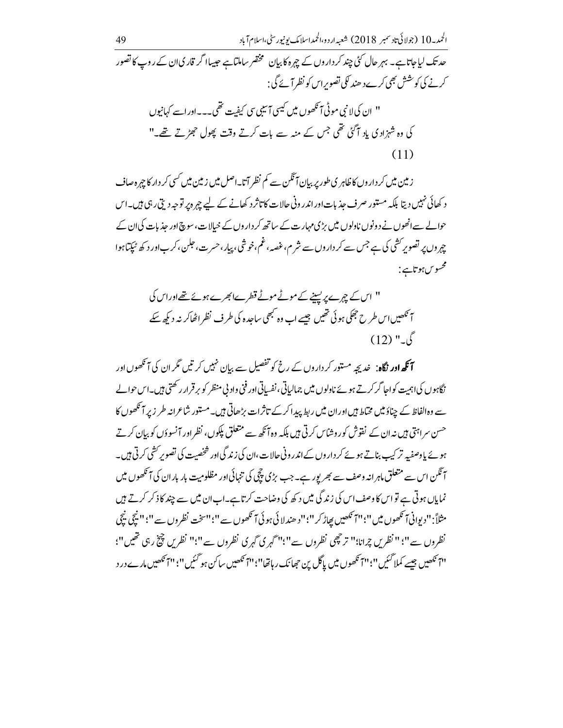ز مین میں کر دار وں کا ظاہر ی طور پر بیان آ ٹکن سے کم نظر آتا۔اصل میں زمین میں کسی کر دار کا چرہ صاف د کھائی نہیں دیتا بلکہ مستور صرف جذبات اوراندرونی جالات کا تاثرد کھانے کے لیے ج ہ در توجہ دی رہی ہیں۔اس حوالے سےانھوں نے د ونوں ناولوں میں بڑی مہارت کے ساتھ کر داروں کے خیالات،سو چی اور حذیات کی ان کے چہروں پر تصویر کشی کی ہے جس سے کر داروں سے شر م، غصہ، غم،خوشی، پیار،حسرت، جلن،کر باور د کھ ٹیکتاہوا محسوس ہوتاہے :

" اس کے چہرے پریسینے کے موٹے موٹے قطرےابھرے ہوئے تھےاوراس کی آنکھیں اس طرح جھکی ہوئی تھیں جیسے اب وہ کبھی ساجدہ کی طرف نظراٹھاکر نہ دیکھ سکے  $(12)$  " $\sqrt{2}$ 

۔<br>**آنگھ اور نگاہ**: غدیجہِ مستور کر داروں کے رخ کو تفصیل سے بیان نہیں کرتیں مگر ان کی آنگھوں اور ۔<br>نگاہوں کیا ہمیت کواحا گرکرتے ہوئے ناولوں میں جمالیاتی، نفساتی اور فنی وادنی منظر کو برقرار رکھتی ہیں۔اس حوالے <sub>سے</sub> وہ الفاظ کے چناؤ میں مختاط ہیں اور ان میں ربط پیدا کر کے تاثرات بڑھاتی ہیں۔مستور شاعرانہ طر زبر آئمھوں کا <sup>حسن</sup> سراہتی ہیں نہ ان کے نقوش کوروشاس کرتی ہیں بلکہ وہ آ نکھ سے متعلق پکوں، نظر اور آنسوؤں کو بیان کرتے ہوئے یاوصفیہ تر کیپ بناتے ہوئے کر داروں کے اندرونی حالات،ان کی زند گی اور شخصیت کی تصویر کشی کر تی ہیں۔ ہ نگن اس سے متعلق ماہرانہ وصف سے بھر یور ہے۔جب بڑی پیچی کی تنہائی اور مظلومیت بار باران کی آنکھوں میں نمایاں ہوتی ہے تو اس کا وصف اس کی زندگی میں د کھ کی وضاحت کرتاہے۔اب ان میں سے چند کاذ کر کرتے ہیں مثلاً: "ديواني آنكھوں ميں "؛"آئنگھيں بھاڑ كر "؛"د ھندلائي ہوئي آنكھوں سے "؛"سخت نظروں سے "؛" نيچي نيچي نظروں سے"؛ " نظریں چرانا؛" تر چھی نظروں سے"؛"گہری گہری نظروں سے"؛" نظریں چیخ رہی تھیں"؛ ''آ نَهُصِيں جیسے کملا گئیں''؛''آ نَھوں میں پاگل پن حِھانک رہاتھا''؛''آ نَهصیں ساکن ہو گئیں''؛''آ نَهصیں مارے درد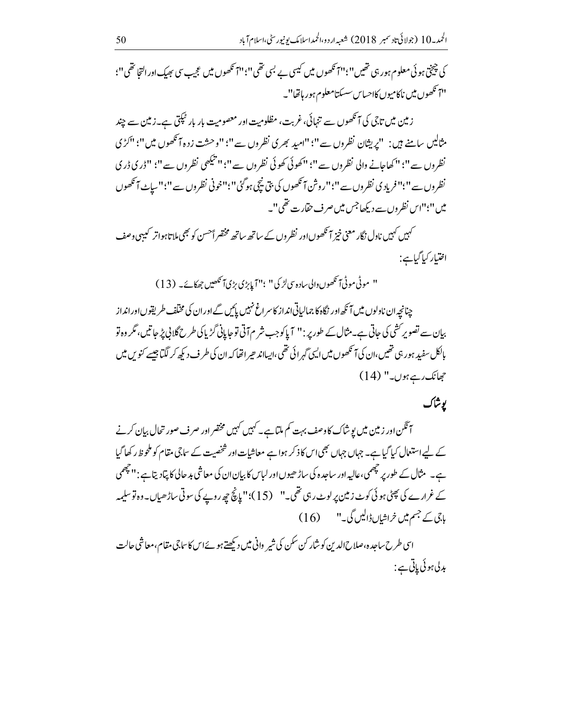کی چیختی ہو ئی معلوم ہور ہی تھیں ''؛'اہم تکھوں میں کیسی بے بسی تھی''؛'اہم تکھوں میں عجیب سی پھیک اور التجا تھی''؛ ''اَ تَكھوں میں ناکامیوں کااحساس سسکتامعلوم ہور ہاتھا''۔

زمین میں تاجی کی آنکھوں سے تنہائی، غربت، مظلومیت اور معصومیت بار بار ٹیکتی ہے۔زمین سے چند مثالیں سامنے ہیں: "بریثان نظروں سے"؛ "امید بھری نظروں سے"؛ "وحشت زدہ آئھوں میں"؛ "کڑی نظروں سے"؛ " كھاجانے والى نظروں سے"؛ "كھوئى كھوئى نظروں سے"؛" بتيكھى نظروں سے"؛ "ڈرى ڈرى نظروں سے ''؛'' فریاد کی نظروں سے ''؛''روشن آنکھوں کی بتی نیچی ہوگئی''؛''خونی نظروں سے ''؛''سیاٹ آنکھوں میں''؛''اس نظروں سے دیکھاجس میں صرف حقارت تھی''۔

۔<br>سہیں کہیں ناول نگار معنی خیز آنکھوں اور نظروں کے ساتھ ساتھ مختصر اَحسن کو بھی ملاتاہواتر کیبیی وصف اختيار کياگياہے:

" موٹی موٹی آنکھوں والی سادہ سی لڑ کی" ؛"آیا بڑی بڑیآ نکھیں جھکائے۔ (13)

چنانچہ ان ناولوں میں آ نکھ اور نگاہ کا جمالیاتی انداز کاسر اغ نہیں پائیں گے اور ان کی مخلف طریقوں اور انداز بیان سے تصویر کشی کی جاتی ہے۔مثال کے طور پر : " آ پاکو جب شر م7 تی تو جا پانی گڑ پاکی طرح گلانی پڑ جاتیں، مگر وہ تو بالکل سفید ہور ہی تھیں،ان کی آنکھوں میں ایپی گہر ائی تھی،ایساند ھیر اتھا کہ ان کی طرف دیکھ کر لگتا جیسے کنویں میں جھانک رہے ہوں۔" (14)

# يوشأك

آنگن اور زمین میں پوشاک کا وصف بہت کم ملتا ہے ۔ کہیں کہیں مختصر اور صرف صور تحال بیان کرنے کے لیے استعال کیا گیا ہے۔ جہاں جہاں بھی اس کاذ کر ہوا ہے معاشیات اور شخصیت کے ساجی مقام کو ملحوظ رکھا گیا ہے۔ مثال کے طور پر چھمی،عالیہ اور ساجدہ کی ساڑ ھیوں اور لباس کا بیان ان کی معاشی بد حالی کا پتادیتا ہے : '' چھمی کے غرارے کی پھٹی ہوئی کوٹ زمین پرلوٹ رہی تھی۔" (15)؛"پانچ چھ روپے کی سوتی ساڑھیاں۔وہ توسلیمہ باجی کے جسم میں خراشیاں ڈالیں گی۔" (16)

اسی طرح ساجدہ،صلاح الدین کوشار کن سکن کی شیر وانی میں دیکھتے ہوئےاس کاساجی مقام،معاشی حالت ېدلى بوئى پاتى ہے: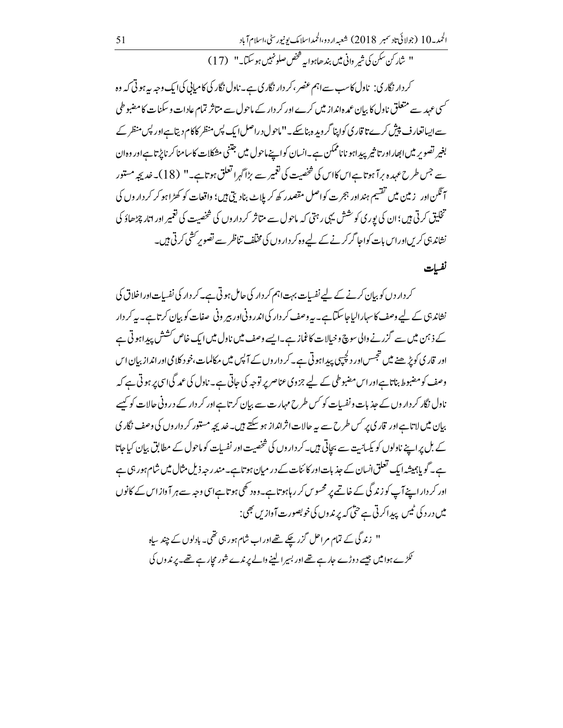الحمد – 10 (جولائي تاد سمبر 2018) شعبه اردو،الحمداسلامک يونيورسٹي،اسلام آباد

" شاركن سكن كي شير واني ميں بندھاہوابہ څخص صلونہيںہو سكتا۔" (17)

کر دار نگاری: ناول کاسب سے اہم عضر ،کر دار نگاری ہے۔ناول نگار کی کامیابی کی ایک وجہ بیہ ہوتی کہ وہ <sup>گس</sup>ی عہد سے متعلق ناول کا بیان عمد ہانداز میں کرے اور کر دار کے ماحول سے متاثر تمام عادات و سکنات کا مضبوطی سے ایساتعار ف پیش کرے تا قار کی کواپنا گرویدہ بناسکے۔"ماحول دراصل ایک پس منظر کاکام دیتاہےاور پس منظر کے بغیر تصویر میں ابھاراور تا ثیر پیداہو ناناممکن ہے۔انسان کواپنے ماحول میں جتنی مشکلات کاسامنا کر ناپڑ تاہےاور وہان سے جس طرح عہدہ برآ ہوتاہاں کااس کی شخصیت کی تغمیر سے بڑا گہرا تعلق ہوتاہے۔" (18)۔ خدیجہ مستور آنگن اور زمین میں تقسیم ہنداور ہجرت کواصل مقصدر کھ کر بلاٹ بناد بی ہیں؛ واقعات کو کھڑاہو کر کرداروں کی تخلیق کرتی ہیں؛ ان کی پوری کوشش یہی رہتی کہ ماحول سے متاثر کر داروں کی شخصیت کی تغییر اور اتار چڑھاؤ کی نشاند ہی کریں اوراس بات کواجا گرکرنے کے لیے وہ کر داروں کی مختلف تناظر سے تصویر کشی کرتی ہیں۔

نفسات

کر دار دں کو بیان کرنے کے لیے نفسات بہت اہم کر دار کی حامل ہو تی ہے۔کر دار کی نفسات اوراخلاق کی نشاند ہی کے لیے وصف کاسہارالیاجاسکتاہے۔ یہ وصف کر دار کی اندر ونی اور بیر ونی صفات کو بیان کرتاہے۔ یہ کر دار کے ذہن میں سے گزر نے والی سوچ وخیالات کاغماز ہے۔ایسے وصف میں ناول میں ایک خاص کشش پیداہو تی ہے اور قار کی کویڑ ھنے میں تجسس اور دلچپیں پیداہوتی ہے۔کر داروں کے آپس میں مکالمات،خود کلامی اور انداز بیان اس وصف کو مضبوط بناتا ہےاور اس مضبوطی کے لیے جزوی عناصر پر توجہ کی حاتی ہے۔ ناول کی عمد گیا اسی پر ہوتی ہے کہ ناول نگار کر داروں کے جذبات و نفسیات کو <sup>کس</sup> طرح مہار ت سے بیان کرتا ہے اور کر دار کے در ونی حالات کو کیسے بیان میں لاتاہےاور قاری پر کس طرح سے یہ حالات اثرانداز ہو سکتے ہیں۔خدیجہ مستور کر داروں کی وصف نگار ک کے بل پر اپنے ناولوں کو یکسانیت سے بجاتی ہیں۔کر داروں کی شخصیت اور نفسیات کو ماحول کے مطابق بیان کیاجاتا ہے۔ گو پاہمیشہ ایک تعلق انسان کے جذبات اور کا ئنات کے در میان ہوتاہے۔مندر حبہ ذیل مثال میں شام ہور ہی ہے اور کر داراپنے آپ کو زند گی کے خاتمے پر محسوس کر رہاہو تاہے۔وہ د گھی ہو تاہےاسی وجہ سے ہر آواز اس کے کانوں میں درد کی ٹیس پیداکرتی ہے حتی کہ پرندوں کی خوبصورت آوازیں بھی:

" زندگی کے تمام مراحل گزر چکے تھےاوراب شام ہورہی تھی۔ بادلوں کے چند سپاہ ٹکڑے ہوا میں جیسے دوڑے حارجے تھے اور بسیر الینے والے پرندے شور مجار ہے تھے۔ پرندوں کی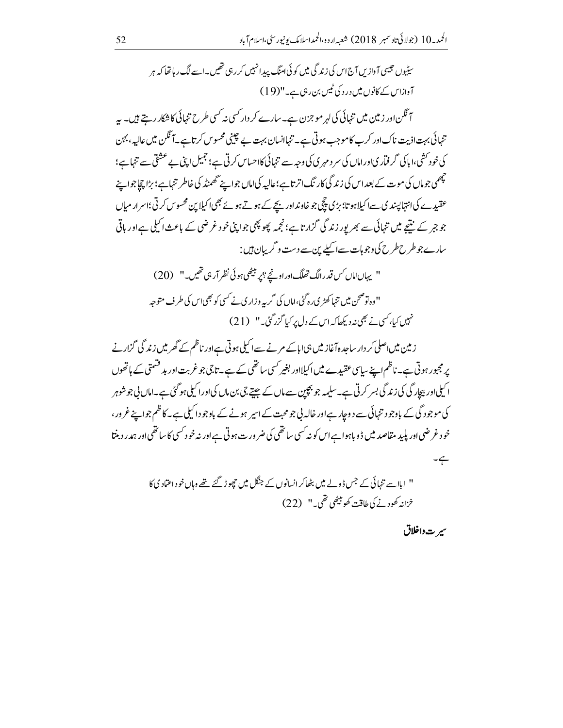سٹیوں جیسی آواز پں آج اس کی زند گی میں کوئی امنگ پیدا نہیں کررہی تھیں۔اسے لگ رہاتھا کہ ہر آوازاس کے کانوں میں در د کی ٹمیں بن رہی ہے۔"(19) آ ٹکن اور زمین میں تنہائی کی لہر مو جزن ہے۔ سارے کر دار کسی نہ کسی طرح تنہائی کا شکار رہتے ہیں۔ پہ تنہائی بہت اذیت ناک اور کرے کاموجب ہوتی ہے۔ تنہاانسان بہت بے چینی محسوس کرتاہے۔آنگن میں عالیہ ، بہن کی خود کشی،اباکی گر فماری اور اماں کی سر د مہری کی وجہ سے تنہائی کااحساس کرتی ہے ؛ جمیل اپنی بے عشقی سے تنہا ہے؛ ۔<br>چھمی جوماں کی موت کے بعد اس کی زند گی کار نگ اتر تاہے؛عالیہ کیاماں جواپنے تھمنڈ کی خاطر تنہاہے؛ بڑا چچاجواپنے

عقیدے کی انتہاپسند ک سے اکیلاہو تا؛ بڑی پچی جو خاونداور بچے کے ہوتے ہوئے بھی اکیلا ین محسوس کرتی؛اسرار میاں جو جبر کے نتیجے میں تنہائی سے بھریور زندگی گزارتاہے؛ نجمہ پھو پھی جواپی خود غرضی کے باعث اکیلی ہےاور باقی سارے جو طرح طرح کی وجوہات سے اسلے بن سے دست و گریبان ہیں :

'' يہاں اماں كس قدر الگ تھلگ اور اونجے؟ پر ببيٹھى ہو ئى نظر آر ہى تھيں۔'' (20) ''وہ توضحن میں تنما کھڑی، ہ<sup>7</sup>ئی،اماں کی گربہ وزاری نے *کسی کو بھی لا*س کی طرف متوجہ نہیں کیا، کسی نے بھی نہ دیکھاکہ اس کے دل پر کیا گزرگئی۔" (21)

زمین میں اصلی کر دار ساجدہ آغاز میں ہی اپاکے مرنے سے اکیلی ہوتی ہےاور ناظم کے گھر میں زندگی گزارنے پر مجبور ہوتی ہے۔ ناظم اپنے ساسی عقیدے میں اکیلااور بغیر کسی ساتھی کے ہے۔ تاجی جو غربت اور بد قسمتی کے ہاتھوں ا کہلی اور پیچار گی کی زند گی بسر کرتی ہے۔سلیمہ جو بچپن سے ماں کے جیتے جی بن ماں کی اور اکیلی ہو گئی ہے۔اماں بی جو شوہر کی موجود گی کے باوجود تنہائی سے دوچارہےاور خالہ بی جو محبت کے اسپر ہونے کے باوجودا کیلی ہے۔ کاظم جواپنے غرور، خود غر ضی اور پلید مقاصد میں ڈو باہوا ہےاس کو نہ <sup>کس</sup>ی ساتھی کی ضر ور ت ہو تی ہے اور نہ خود <sup>کس</sup>ی کاساتھی اور ہمدر دبنتا  $-\xi$ 

'' ایاا سے ننہائی کے جس ڈولے میں بٹھاکرانسانوں کے جنگل میں چھوڑ گئے تھے وہاں خود اعت<sub>ا</sub>د ی کا خزنه کھود نر کی طاقیۃ کھو بیٹھی تھی " (22)

سير تدواخلاق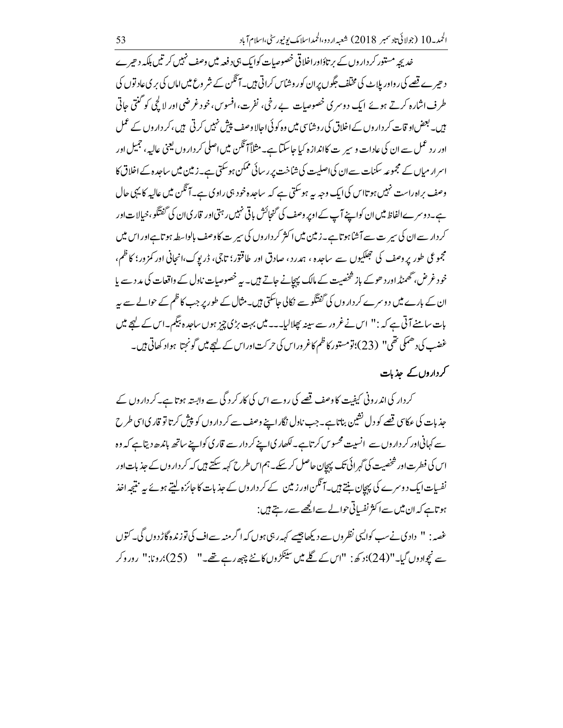خدیجہ مستور کر داروں کے بر تاؤاوراخلاقی خصوصات کوایک ہی د فعہ میں وصف نہیں کر تیں بلکہ د حیرے د حیرے قصے کی ر واور بلاٹ کی مخلف جگوں پران کور وشاس کراتی ہیں۔آنگن کے شر وع میں اماں کی بر ی عاد توں کی طرف اشارہ کرتے ہوئے ایک دوسری خصوصیات بے رخی، نفرت،افسوس،خود غرضی اور لا کچی کو گنتی عاتی ہیں۔ بعض او قات کر داروں کے اخلاق کی روشائق میں وہ کوئی احالا وصف پیش نہیں کرتی ہیں، کر داروں کے عمل اور رد عمل سے ان کی عادات و سیر ت کااندازہ کیا جاسکتا ہے۔مثلاً آ تگن میں اصلی کر داروں یعنی عالیہ، حجمیل اور اسرار میاں کے مجموعہ سکنات سے ان کی اصلیت کی شاخت پر رسائی ممکن ہوسکتی ہے۔زمین میں ساجدہ کے اخلاق کا وصف براہ راست نہیں ہوتااس کی ایک وجہ یہ ہوسکتی ہے کہ ساحدہ خود ہی راوی ہے۔آئگن میں عالیہ کا یہی جال ہے۔دوسرےالفاظ میں ان کواپنے آپ کے اوپر وصف کی گنجائش باقی نہیں رہتی اور قار کی ان کی گفتگو، خیالات اور کر دار سے ان کی سیر ت سے آشاہوتا ہے۔زمین میں اکثر کر داروں کی سیر ت کا وصف بالواسطہ ہوتاہےاور اس میں مجموعی طور پروصف کی جھلکیوں سے ساجدہ ، ہدرد، صادق اور طاقتور؛ تاجی، ڈریوک،انجانی اور کمزور؛ کاظم، خود غرض، گھمنڈ اور دھوکے باز شخصیت کے مالک پہچانے جاتے ہیں۔ یہ خصوصیات ناول کے واقعات کی مد د سے پا ان کے بارے میں دوسرے کر داروں کی گفتگوسے نکالی جاسکتی ہیں۔مثال کے طور پر جب کاظم کے حوالے سے بیر بات سامنے آتی ہے کہ :" اس نے غرور سے سینہ بھلالیا۔۔۔ میں بہت بڑی چز ہوں ساحدہ بیگم۔اس کے لیچے میں غضب کی دھمکی تھی" (23)؛تومستور کاظم کاغروراس کی حرکت اوراس کے لہجے میں گونجتا ہواد کھاتی ہیں۔

## کرداروں کے حذیات

کردار کی اندرونی کیفت کا وصف تھے کی روسے اس کی کار کرد گی سے وابستہ ہوتا ہے۔کرداروں کے جذ بات کی عکاسی قصے کو دل نشین بناتا ہے۔جب ناول نگار اپنے وصف سے کر داروں کو پیش کر تا تو قاریا ہی طرح سے کہانیاور کر داروں سے انسیت محسوس کرتاہے۔ لکھار پی اپنے کر دار سے قار کی کواپنے ساتھ باندھ دیتاہے کہ وہ اس کی فطرت اور شخصیت کی گہر ائی تک پہچان حاصل کر سکے۔ ہم اس طرح کہہ سکتے ہیں کہ کر دار وں کے جذبات اور نفسیات ایک دوسرے کی پہچان بنتے ہیں۔آنگس اور زمین کے کر داروں کے جذبات کا جائزہ لیتے ہوئے بیر نتیجہ اخذ ہوتاہے کہ ان میں سےا کثر نفسیاتی حوالے سے اکچھے سے رہتے ہیں :

غصہ: " دادی نے سب کوالیپی نظروں سے دیکھا جیسے کہہ رہی ہوں کہ اگر منہ سےاف کی توزندہ گاڑ دوں گی۔ کتوں سے نیچوادوں گیا۔"(24)؛د کھ: "اس کے گلے میں سینکڑوں کانٹے چپھ رہے تھے۔" (25)؛رونا:" روروکر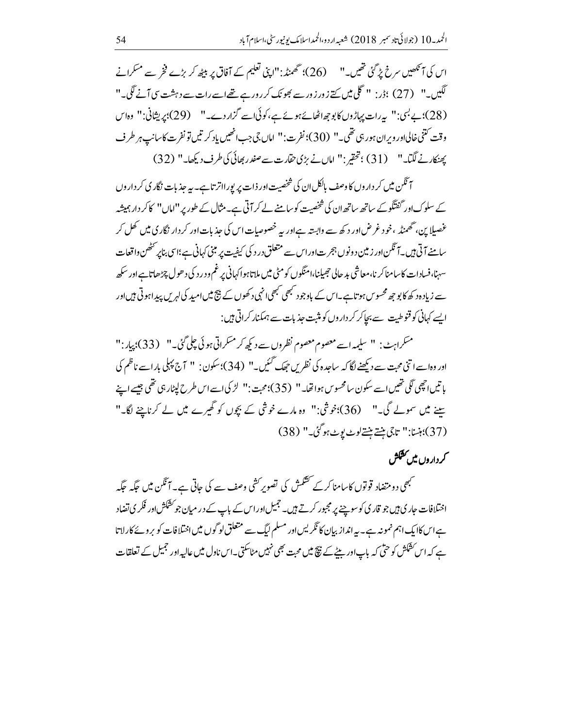اس کی آنکھیں سرخ پڑ گئی تھیں۔" (26)؛ تھمنڈ:"اپنی تعلیم کے آفاق پر بیٹھ کر بڑے فخر سے مسکرانے لگیں۔" (27) ؛ڈر: " گلی میں پتے زور زور سے بھونک کررورہے تھےاسے رات سے دہشت سی آنے لگی۔" (28)؛ بے بسی:" پیرات پہاڑوں کا بو جھ اٹھائے ہوئے ہے، کوئی اسے گزار دے۔" (29)؛ پریشانی:" وہاس وقت كتني خالياور وبران ہور ہى تقى \_ " (30)؛ نفرت: " اماں جي جب انھيں پاد كر تيں تو نفرت كاسانپ ہر طرف يھنكار نے لگيا۔" (31) ؛تحقير:" اماں نے بڑى تقارت سے صفدر بھائى كى طرف ديكھا۔" (32)

۔<br>آنگن میں کر داروں کا وصف بالکل ان کی شخصیت اور ذات پر پورااتر تاہے۔ یہ جذبات نگار کی کر داروں کے سلوک اور گفتگو کے ساتھ ساتھ ان کی شخصیت کو سامنے لے کر آتی ہے۔مثال کے طور پر ''اماں'' کا کر دار ہمیشہ غصیلا بن، گھمنڈ ، خود غرض اور د کھ سے وابستہ ہےاور یہ خصوصیات اس کی جذبات اور کر دار نگار کی میں کھل کر سامنے آتی ہیں۔آ<sup>م</sup>گن اور زمین د ونوں ہجرت اوراس سے متعلق در د کی کیفیت پر مبنی کہانی ہے ؛اسی بناپر <sup>حک</sup>ھن واقعات <sub>سهنبا</sub>، فسادات کاسامناکر نا،معاشی بد حالی حجیبانیا،امنگوں کومٹی میں ملاتاہوا کہانی پر غم ودر د کی د ھول چڑھاتاہ ار سے زیاد ہ د کھ کا بو جھ محسوس ہوتاہے۔اس کے باوجو د مبھی مبھی انہی د کھوں کے فیج میں امید کی لہریں پیدا ہو تی ہیں اور ایسے کہانی کو قنوطیت سے بچاکر کر داروں کو مثبت جذبات سے ہمکنار کراتی ہیں:

مسكراہٹ: " سليمہ اسے معصوم معصوم نظروں سے ديكھ كر مسكراتي ہوئى چلى گئی۔" (33)؛ پيار:" اور وہ اسے اتنی محت سے دیکھنے لگا کہ ساجدہ کی نظریں حیک گئیں۔" (34)؛سکون: " آج پہلی بار اسے ناظم کی باتيں اچھي لگي تھيں اسے سکون سامحسوس ہوا تھا۔ " (35)؛ محبت :" لڑ کی اسے اس طرح لیٹار ہی تھی جیسے اپنے سنے میں سمولے گی۔" (36)؛خوشی:" وہ مارے خوشی کے بچوں کو گھیرے میں لے کرناچنے لگا۔" (37)؛ بنسا: " تاجي بنتے بنتے لوٹ بوٹ ہو گئی۔" (38)

کر داروں میں کشکش

۔<br>سبھی دومتضاد قوتوں کاسامنا کرکے تشکمش کی تصویر کشی وصف سے کی جاتی ہے۔ آئگن میں جگہ جگہ اختلافات جاری ہیں جو قاری کوسوچنے پر مجبور کرتے ہیں۔ جمیل اوراس کے باپ کے در میان جو کشکش اور فکر ی تضاد ہےاس کاایک اہم نمونہ ہے۔ یہ انداز بیان کا نگریس اور مسلم لیگ سے متعلق لو گوں میں اختلافات کو بروئے کارلاتا ہے کہ اس کشکش کو حتٰی کہ باپ اور بیٹے کے نتیج میں محبت بھی نہیں مٹاسکتی۔اس ناول میں عالیہ اور جمیل کے تعلقات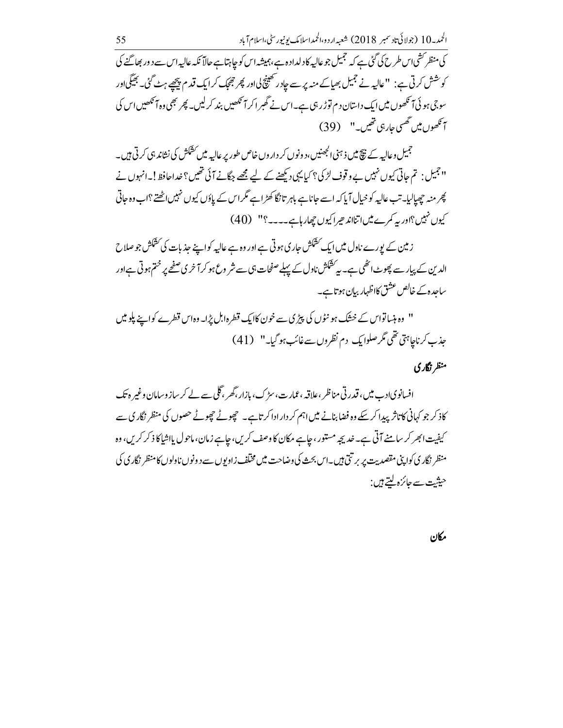کی منظر کشی اس طرح کی گئی ہے کہ حجمیل جو عالیہ کادلداد ہے ،ہمیشہ اس کو چاہتاہے حالاً نکہ عالیہ اس سے د ور بھاگنے کی کوشش کرتی ہے: "عالیہ نے جمیل بھیاکے منہ پر سے جادر تھینچ لیااور پھر جھیک کرایک قدم پیچھے ہٹ گئی۔ بھیگیااور سو جی ہو ئی آنکھوں میں ایک داستان دم توڑ رہی ہے۔اس نے گھبر اکر آنکھیں بند کرلیں۔ پھر بھی وہ آنکھیں اس کی آنکھوں میں تھسی جارہی تھیں۔" (39)

جمیل وعالیہ کے ن<del>یچ</del> میں ذہنی الجھنیں، دونوں کر داروں خاص طور پر عالیہ میں کشکش کی نشاند ہی کرتی ہیں۔ '' جمیل : تم جاتی کیوں نہیں بے و قوف لڑ کی؟ کیا یہی دیکھنے کے لیے مجھے جگانے آئی تھیں؟ خداحافظ!۔انہوں نے پھر منہ چھپالیا۔ تب عالیہ کو خیال آپا کہ اسے جاناہے باہر تانگا کھڑاہے مگر اس کے پاؤں کیوں نہیں اٹھتے ؟اب وہ جاتی کیوں نہیں؟اور یہ کمرے میںاتناند حیراکیوں چھار ہاہے۔۔۔۔؟'' (40)

ز مین کے یورے ناول میں ایک کشکش جاری ہوتی ہے اور وہ ہے عالیہ کواپنے جذبات کی کشکش جو صلاح الدین کے پیار سے پھوٹ اٹھی ہے۔ بی<sup>رکش</sup>کش ناول کے پہلے صفحات ہی سے شر وع ہو کر آ خری صفحے پر ختم ہو تی ہے اور ساحدہ کے خالص عشق کااظہار بیان ہوتاہے۔

'' وہ ہنساتواس کے خشک ہو نٹوں کی پیڑی سے خون کاایک قطرہ ابل پڑا۔ وہ اس قطرے کواپنے پلو میں جذب کرناچاہتی تھی مگر صلوایک دم نظروں سے غائب ہو گیا۔" (41)

### منظر نگاری

افسانویادے میں، قدر تی مناظر ،علاقہ ،عمارت، سڑک، بازار،گھر،گلی سے لے کر ساز وسامان وغیر ہ تک کاذ کر جو کہانی کاتاثر پیدا کر سکے وہ فضا بنانے میں اہم کر دار ادا کرتاہے۔ چھوٹے چھوٹے حصوں کی منظر نگاری سے کیفیت ابھر کر سامنے آتی ہے۔ خدیجہ مستور ، چاہے مکان کا وصف کریں، چاہے زمان، ماحول پااشیا کا ذکر کریں، وہ منظر نگار کی کواپنی مقصدیت پر بر تتی ہیں۔اس بحث کی وضاحت میں مختلف زاویوں سے د ونوں ناولوں کامنظر نگار کی کی حیثیت سے جائزہ <u>لیتے ہیں :</u>

مكان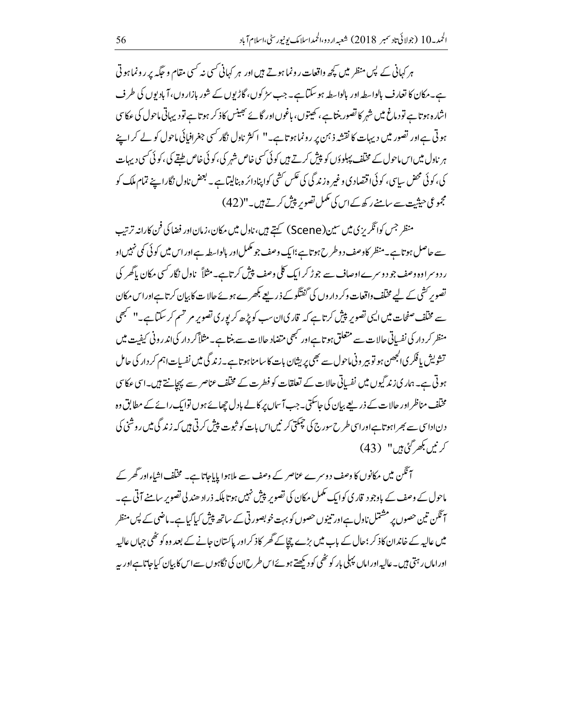ہر کہانی کے پس منظر میں کچھ واقعات رونما ہوتے ہیں اور ہر کہانی کسی نہ کسی مقام و حکیہ پر رونما ہوتی ہے۔مکان کا تعارف بالواسطہ اور بالواسطہ ہو سکتاہے۔جب سڑ کوں، گاڑیوں کے شور بازاروں، آبادیوں کی طرف اشارہ ہوتاہے تو دماغ میں شہر کا تصور بنتاہے ، کھیتوں، باغوںاور گائے نجینس کاذ کر ہوتا ہے تو دیہاتی ماحول کی عکاس ہوتی ہے اور تصور میں دیہات کا نقشہ ذ ہن پر رونما ہوتا ہے۔" اکثر ناول نگار کسی جغرافیائی ماحول کو لے کر اپنے ہر نادل میں اس ماحول کے مختلف پہلوؤں کو پیش کرتے ہیں کوئی کسی خاص شہر کی،کوئی خاص طبقے کی،کوئی کسی دیہات کی، کوئی محض سیاسی، کوئی؛ قتصادی و غیر ہ زندگی کی عکس کشی کواپنادائرہ بنالیتا ہے۔ بعض ناول نگار اپنے تمام ملک کو مجموعی حیثیت سے سامنے رکھ کےاس کی مکمل تصویر پیش کرتے ہیں۔"(42)

منظر جس کوائگریزی میں سین (Scene) کہتے ہیں، ناول میں مکان، زمان اور فضا کی فن کارانہ ترتیب سے حاصل ہو تاہے۔منظر کاوصف دو طرح ہو تاہے؛ایک وصف جو مکمل اور بالواسطہ ہےاوراس میں کو ئی کمی نہیں او ر دوسراوہ وصف جو دوسرے اوصاف سے جوڑ کر ایک کلی وصف پیش کرتاہے۔مثلاً نادل نگار کسی مکان پاکھر کی تصویر کشی کے لیے مختلف واقعات وکر دار وں کی گفتگو کے ذریعے بکھرے ہوئے حالات کا بیان کرتاہےاوراس مکان سے مخلف صفحات میں ای<sub>ک</sub> تصویر پیش کرتاہے کہ قاریان سب کوپڑھ کر بوری تصویر مر تسم کر سکتاہے۔'' مجھی منظر کر دار کی نفساتی حالات سے متعلق ہو تاہےاور <sup>کب</sup>ھی متضاد حالات سے بنتا ہے۔مثلاً کر دار کی اندر ونی کیفیت میں تشویش یافکر ی الجھن ہو تو بیر ونی ماحول سے بھی پریشان بات کا سامنا ہو تاہے۔ زندگی میں نفسیات اہم کر دار کی حامل ہوتی ہے۔ ہماری زند گیوں میں نفساتی حالات کے تعلقات کو فطرت کے مختلف عناصر سے پہچانتے ہیں۔اسی عکاسی مخنلف مناظراور حالات کے ذریعے بیان کی جاسکتی۔جب آساں پر کالے بادل چھائے ہوں توایک رائے کے مطابق وہ دناداسی سے بھراہوتاہےاوراسی طرح سورج کی چمکتی کر نیں اس بات کو ثبوت پیش کرتی ہیں کہ زندگی میں روشنی کی كرنيں بكھر گئى ہيں" (43)

آئگن میں مکانوں کا وصف دوسرے عناصر کے وصف سے ملاہوا پایاجاتا ہے۔ مختلف اشاءاور گھر کے ماحول کے وصف کے باوجود قار کی کوایک مکمل مکان کی تصویر پیش نہیں ہوتا بلکہ ذراد ھند لی تصویرِ سامنے آتی ہے۔ آ ٹکن تین حصوں پر مشتمل نادل ہےاور تبینوں حصوں کو بہت خو بصور تی کے ساتھ پیش کیاگیاہے۔ماضی کے پس منظر میں عالیہ کے خاندان کاذ کر ؛حال کے باب میں بڑے چچاکے گھر کاذ کراور پاکستان حانے کے بعد وہ کو ٹھی جہاں عالیہ اوراماں رہتی ہیں۔عالیہ اوراماں پہلی بار کو پٹھی کود بکھتے ہوئےاس طرح ان کی نگاہوں سے اس کا بیان کیاجاتاہےاور یہ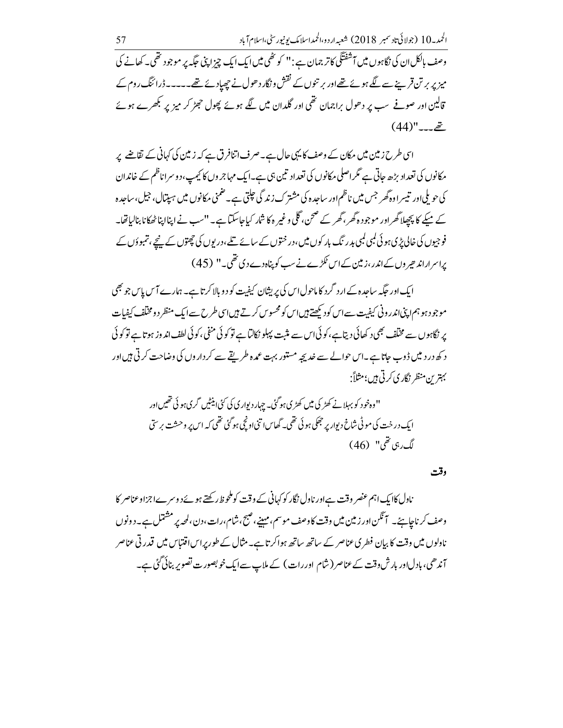قالین اور صوفے سب پر دھول براجمان تھی اور گلدان میں لگے ہوئے پھول حجٹر کر میز پر بکھرے ہوئے  $(44)$ " $-2$  $\geq$ 

اسی طرح زمین میں مکان کے وصف کا یہی حال ہے۔صرف اتنافرق ہے کہ زمین کی کہانی کے نقاضے پر مکانوں کی تعداد بڑھ جاتی ہے گر اصلی مکانوں کی تعداد تین ہی ہے۔ایک مہاجر وں کا کیمپ، دوسراناظم کے خاندان کی حویلی اور تبییر اوہ گھر جس میں ناظم اور ساجدہ کی مشترک زندگی حیلتی ہے۔ضمنی مکانوں میں ہیپتال، جیل،ساجدہ کے میکے کا پچھلا گھراور موجودہ گھر، گھر کے صحن، گلی و غیر ہ کا شار کیاجاسکتا ہے۔ ''سب نے اپنااپناٹھکانا بنالیاتھا۔ فوجیوں کی خالی پڑی ہو ئی کمبی کمبی بدر تک بار کوں میں،در ختوں کے سائے تلے،در یوں کی چھتوں کے پنچے، تمبوؤں کے براسراراند حیر وں کےاندر ،زمین کےاس ٹکڑے نے سب کو پناہ دے دی تھی۔" (45)

ایک اور جگہ ساجدہ کے ارد گرد کا ماحول اس کی پریشان کیفیت کو د و بالا کرتا ہے۔ ہمارے آس پاس جو بھی موجود ہو ہم اپنی اندرونی کیفیت سے اس کود کیھتے ہیں اس کو محسوس کرتے ہیں اسی طرح سے ایک منظر دومخلف کیفیات پر نگاہوں سے مختلف بھی د کھائی دیتاہے،کوئی اس سے مثبت پہلو نکالتاہے تو کوئی منفی،کوئی لطف اندوز ہوتاہے تو کوئی د کھ در دیگں ڈوب جاتا ہے۔اس حوالے سے خدیجہ مستور بہت عمدہ طریقے سے کر داروں کی وضاحت کرتی ہیں اور بہترین منظر نگار کی کرتی ہیں؛مثلاً:

وقت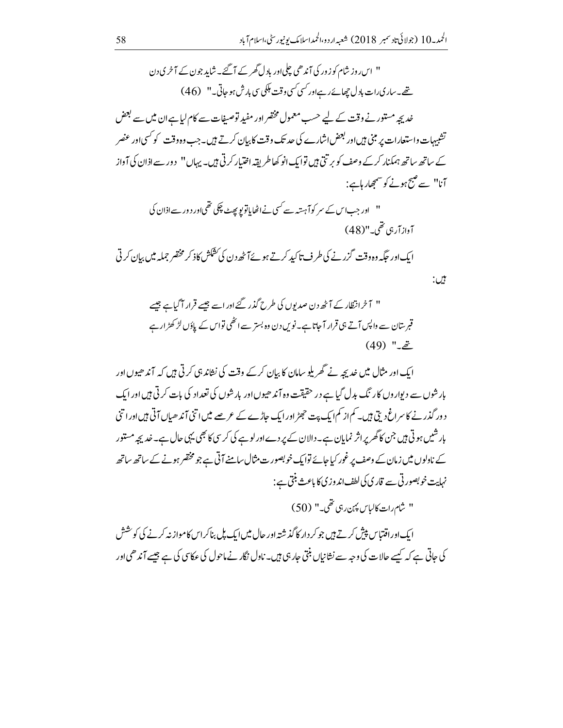" اس روز شام کو زور کی آندھی چلی اور بادل گھر کے آ گئے۔ شاید جون کے آ خر ی د ن تھے۔ ساری رات مادل چھائے رہےاور <sup>کس</sup>ی کسی وقت ملکی سی بارش ہو جاتی۔" (46)

خدیجہ مستور نے وقت کے لیے حسب معمول مختصر اور مفید توصیفات سے کام لیاہے ان میں سے بعض تشبیہات واستعارات پر مبنی ہیںاور بعض اشارے کی حد تک وقت کا بیان کرتے ہیں۔جب وہ وقت کو کسی اور عنصر کے ساتھ ساتھ ہمکنار کرکے وصف کو بر تتی ہیں توایک انو کھاطر یقہ اختیار کرتی ہیں۔ یہاں'' دور سے اذان کی آواز آنا" سے صبح ہونے کو سمجھار ہاہے :

" اور جب اس کے سر کوآہستہ سے کسی نےاٹھایاتوپو پھٹ چکی تھی!ور د ور سےاذان کی آوازآر ہی تھی۔"(48)

ایک اور جگہ وہ وقت گزرنے کی طرف تاکید کرتے ہوئے آٹھ دن کی کشکش کاذ کر مختصر جملہ میں بیان کرتی

ایک اور مثال میں خدیجہ نے گھر پلو سامان کا بیان کرکے وقت کی نشاندہی کرتی ہیں کہ آند ھیوں اور بارشوں سے دیوار وں کا رنگ بدل گیا ہے در حقیقت وہ آند ھیوں اور بارشوں کی تعداد کی بات کرتی ہیں اور ایک د ور گذرنے کا سراغ دیتی ہیں۔ کم از کم ایک پت حجٹر اور ایک حاڑے کے عرصے میں اتنی آند ھیاں آتی ہیں اور اتنی بار شیں ہو تی ہیں جن کا گھر پراثر نمایان ہے۔دالان کے پر دےاورلو ہے کی کریں کا بھی یہی حال ہے۔خدیجہ مستور کے ناولوں میں زمان کے وصف پر غور کیاجائے توایک خوبصور ت مثال سامنے آتی ہے جو مختصر ہونے کے ساتھ ساتھ نہایت خوبصور تی سے قاری کی لطف اند وزی کا باعث بنتی ہے :

" شام رات كالباس پين ربي تھي۔" (50)

بين:

ایک اوراقتیاس پیش کرتے ہیں جو کر دار کا گذشتہ اور حال میں ایک بل بناکراس کامواز نہ کرنے کی کوشش کی جاتی ہے کہ کیسے حالات کی وجہ سے نشانیاں بنتی جار ہی ہیں۔ ناول نگار نے ماحول کی عکاسی کی ہے جیسے آندھی اور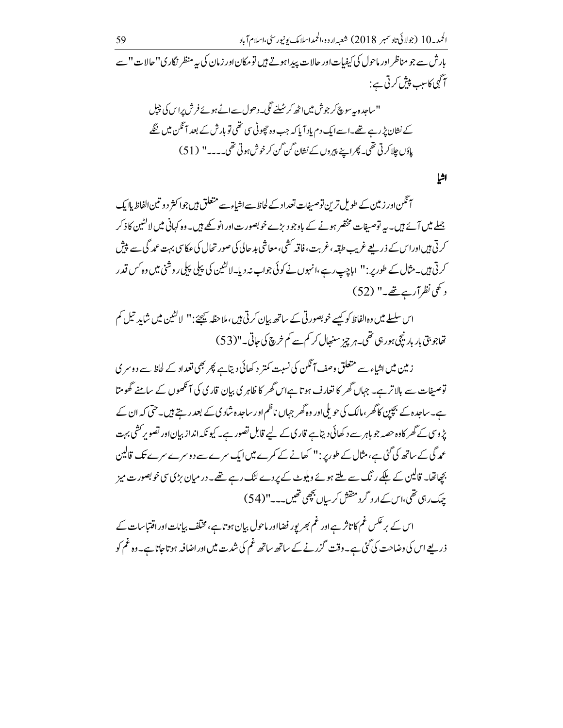بارش سے جو مناظر اور ماحول کی کیفیات اور حالات پیداہوتے ہیں تو مکان اور زمان کی بہ منظر نگار کی''حالات '' سے آگہی کاسب پیش کرتی ہے :

اشيا

آئگن اور زمین کے طویل ترین توصیفات تعداد کے لجاظ سےاشاء سے متعلق ہیں جوا کثر دو تین الفاظ ہاا یک جملے میں آئے ہیں۔ یہ توصیفات مختصر ہونے کے باوجود بڑے خوبصورت اور انو کھے ہیں۔ وہ کہانی میں لاکشین کاذ کر کرتی ہیںاوراس کے ذریعے غریب طبقہ، غربت، فاقہ کشی، معاشی بد حالی کی صور تحال کی عکاسی بہت عمد گی سے پیش کرتی ہیں۔مثال کے طور پر : " اباچپ رہے،انہوں نے کوئی جواب نہ دیا۔لاکٹین کی پہلی پہلی روشنی میں وہ *کس* قدر د کھی نظرآرے تھے۔" (52)

اس سلسلے میں وہالفاظ کو کسے خوبصور تی کے ساتھ بیان کرتی ہیں، ملاحظہ پیچئے:" لاکشین میں شاید تیل کم تھاجو بتی بار بار نیچی ہور ہی تھی۔ہر چز سنبھال کر کم سے کم خرچ کی جاتی۔"(53)

زمین میں اشیاء سے متعلق وصف آ ٹکن کی نسبت کمتر د کھائی دیتاہے پھر بھی تعداد کے لحاظ سے دوسر کی توصیفات سے بالاتر ہے۔ جہاں گھر کا تعارف ہوتا ہےاس گھر کا ظاہر کی بیان قار کی کی آنکھوں کے سامنے گھومتا ہے۔ساجدہ کے بچپین کا گھر ،مالک کی حویلی اور وہ گھر جہاں ناظم اور ساجدہ شاد کی کے بعد رہتے ہیں۔حتی کہ ان کے یڑ وسی کے گھر کاوہ حصہ جو باہر سے د کھائی دیتاہے قاری کے لیے قابل تصور ہے۔ کیو نکہ انداز بیاناور تصویر کشی بہت عمد گی کے ساتھ کی گئی ہے،مثال کے طورپر :" کھانے کے کمرے میں ایک سرے سے د وسرے سرے تک قالین بچھاتھا۔ قالین کے ملکے رنگ سے ملتے ہوئے ویلوٹ کے *پر دے* لٹک رہے <del>تھ</del>ے۔ در میان بڑی سی خوبصورت میز حیک رہی تھی،اس کے ارد گرد منقش کر ساں بچھی تھیں۔۔۔"(54)

اس کے بر عکس غم کا تاثر ہے اور غم بھر یور فضااور ماحول بیان ہوتا ہے،مختلف بیانات اور اقتباسات کے ذریعے اس کی وضاحت کی گئی ہے۔وقت گزرنے کے ساتھ ساتھ غم کی شدت میں اور اضافہ ہو تاجاتا ہے۔وہ غم کو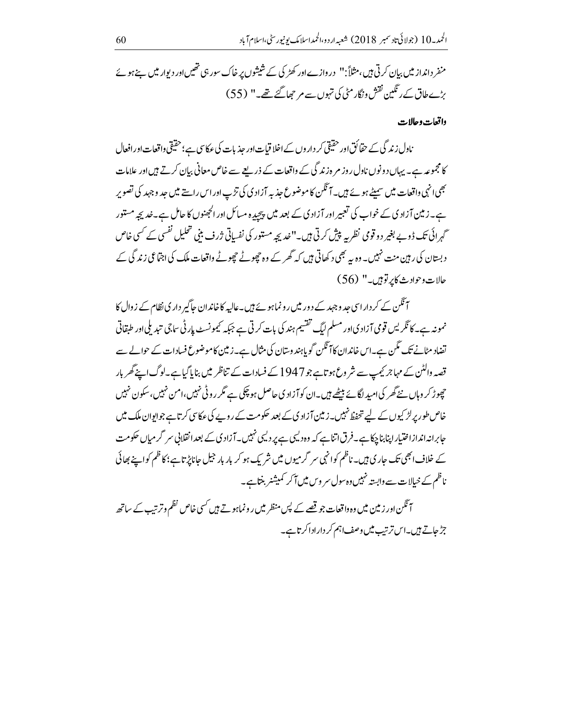منفر دانداز میں بیان کرتی ہیں،مثلاً:'' دروازےاور کھڑ کی کے شیشوں پر خاک سور ہی تھیںاور دیوار میں بنے ہوئے یڑے طاق کے رنگین نقش ونگار مٹی کی تہوں سے مر حجھا گئے تھے۔" (55)

واقعات وحالات

ناول زندگی کے حقائق اور حقیقی کر داروں کے اخلا قبات اور جذبات کی عکاسی ہے؛حقیقی واقعات اور افعال کا مجموعہ ہے۔ یہاں دونوں ناول روز مر ہ زندگی کے واقعات کے ذریعے سے خاص معانی بیان کرتے ہیں اور علامات بھی <sub>ا</sub>نہی واقعات میں س<u>م</u>یٹے ہوئے ہیں۔ آنگن کا موضوع جذبہ آزاد کی کی تڑپ اور اس راستے میں جد وجہد کی تصویر ہے۔ زمین آزاد کی کے خواب کی تعبیر اور آزاد کی کے بعد میں پیچیدہ مسائل اور الحجنوں کا حامل ہے۔خدیجہ مستور گہرائی تک ڈوپے بغیر دو قومی نظر پہ پیش کرتی ہیں۔''غدیجہ مستور کی نفساتی ژرف بنی تحلیل نفسی کے کسی خاص د بستان کی رہین منت نہیں۔ وہ ہہ بھی د کھاتی ہیں کہ گھر کے وہ چچوٹے چچوٹے واقعات ملک کی اجتماعی زند گی کے حالات وحوادث كابر توبين-" (56)

آ تگن کے کر داراسی حد وجہد کے دور میں رونماہو بۓ ہیں۔عالیہ کا خاندان جاگیر داری نظام کے زوال کا <sup>م</sup>مونہ ہے۔ کا ٹکریس قومی آزاد یااور مسلم ایگ تقسیم ہند کی بات کرتی ہے جبکہ کیمونسٹ پار ٹی ساجی تنبدیلی اور طبقاتی تضاد مٹانے تک مگن ہے۔اس خاندان کا آنگن گو پاہند وسان کی مثال ہے۔زمین کاموضوع فسادات کے حوالے سے قصہ والٹن کے مہاجر کیمپ سے شر وع ہوتاہے جو 1947 کے فسادات کے تناظر میں بنا پاگیاہے۔لوگ اپنے گھر بار حچوڑ کر وہاں نئے گھر کیامہیراگائے بیٹھے ہیں۔ان کو آزاد ی حاصل ہو چکی ہے مگر رو ٹی نہیں،امن نہیں، سکون نہیں خاص طور پرلڑ کیوں کے لیے تحفظ نہیں۔زیین آزاد کی کے بعد حکومت کے روپے کی عکاسی کرتاہے جوابوان ملک میں جابرانہ اندازاختیاراپنا بنا چکاہے۔فرق اتناہے کہ وہ دلیہی ہے پر دلیں نہیں۔آزادی کے بعد انقلابی سر گرمیاں حکومت کے خلاف ابھی تک جار ی ہیں۔ناظم کوانہی سر گرمیوں میں شریک ہو کر بار بار جیل جاناپڑتاہے؛کاظم کواپنے بھائی ناظم کے خیالات سے وابستہ نہیں وہ سول سر وس میں آ کر کمیشنر بنتاہے۔

آ نگن اور زمین میں وہ واقعات جو قصے کے پس منظر میں رونماہوتے ہیں کسی خاص نظم وترتیب کے ساتھ جڑ جاتے ہیں۔اس ترتیب میں وصف اہم کر داراداکر تاہے۔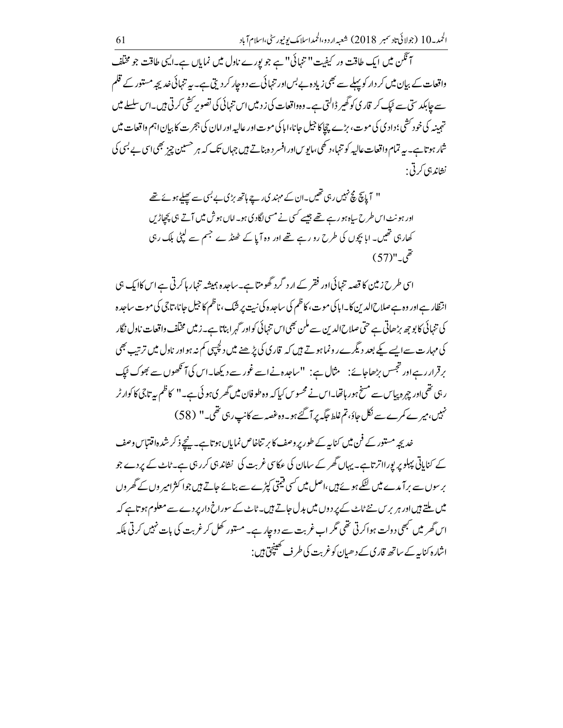آنگن میں ایک طاقت ور کیفیت" تنہائی" ہے جو پورے نادل میں نمایاں ہے۔ایں طاقت جو مخلف واقعات کے بیان میں کر دار کو پہلے سے بھی زیادہ بے بس اور تنہائی سے د وجار کر دیتی ہے۔ یہ تنہائی خدیجہ مستور کے قلم سے جابکد ستی سے ٹیک کر قار کی کو گھیر ڈالتی ہے۔وہ واقعات کی ز دمیں اس تنہائی کی تصویر کشی کرتی ہیں۔اس سلسلے میں تہمینہ کی خود کشی؛ دادی کی موت، بڑے چاکا جیل جانا،ابا کی موت اور عالیہ اور امان کی ہجرت کا بیان اہم واقعات میں شار ہو تاہے۔ یہ تمام واقعات عالیہ کو تنہا،د تھی،مایوِساورافسر د ہ بناتے ہیں جہاں تک کہ ہر حسین چز بھی اس بے بسی کی نشاند ہی کرتی :

> " آپایتج مچ نہیں رہی تھیں۔ان کے مہند کی رہے ہاتھ بڑی بے بسی سے تھلے ہوئے تھے اور ہونٹ اس طرح سپاہ ہو رہے تھے جیسے کسی نے مسی لگاد کی ہو۔ اماں ہوش میں آتے ہی پچپاڑیں کھارہی تھیں۔ابا بچوں کی طرح رو رہے تھے اور وہ آپا کے ٹھنڈے جسم سے کپٹی بلک رہی  $(57)$ "  $\bar{e}$

اسی طرح زمین کا قصہ تنہائی اور فقر کے ارد گرد گھومتاہے۔ساجدہ ہمیشہ تنہار ہاکرتی ہے اس کاایک ہی انتظار ہےاور وہ ہے صلاح الدین کا۔ابا کی موت، کاظم کی ساجد ہ کی نہیت پر شک، ناظم کا جیل جانا، تاجی کی موت ساجدہ کی تنہائی کا بوجھ بڑھاتی ہے حتی صلاح الدین سے ملن بھی اس تنہائی کواور گہر ابناتا ہے۔زمیں مخلف واقعات ناول نگار کی مہارت سےایسے کے بعد دیگرے رونما ہوتے ہیں کہ قاری کی بڑھنے میں دلچیہی کم نہ ہواور ناول میں ترتب بھی برقرار رہےاور تجسس بڑھاجائے : مثال ہے : "ساجدہ نےاسے غور سے دیکھا۔اس کی آنکھوں سے بھوک ٹیک ر ہی تھی اور چہرہ پیاس سے مسخ ہور ہاتھا۔اس نے محسوس کیا کہ وہ طوفان میں گھر ی ہو ئی ہے۔'' کاظم بیہ تاجی کا کوارٹر نہیں،میرے کمرےسے نکل جاؤ،تم غلط جگہ پر آ گئے ہو۔وہ غصہ سے کانپ رہی تھی۔" (58)

خدیجہ مستور کے فن میں کناہہ کے طور پر وصف کا بر تناخاص نمایاں ہو تاہے۔ پنچے ذکر شدہ اقتتاس وصف کے کنایاتی پہلو پر یورااتر تاہے۔ یہاں گھر کے سامان کی عکاسی غربت کی نشاند ہی کررہی ہے۔ٹاٹ کے پردے جو بر سوں سے برآ مدے میں لٹکے ہوئے ہیں،اصل میں کسی قیمتی کپڑے سے بنائے جاتے ہیں جوا کثرامیر وں کے گھروں میں ملتے ہیںاور ہر برس نئے ٹاٹ کے پر دوں میں بدل جاتے ہیں۔ٹاٹ کے سوراخ دارپر دے سے معلوم ہو تاہے کہ اس گھر میں نہھی دولت ہواکرتی تھی مگر اب غربت سے دوچار ہے۔ مستور کھل کر غربت کی بات نہیں کرتی بلکہ اشارہ کنایہ کے ساتھ قار کی کے دھیان کوغربت کی طر ف کھینچ ہیں :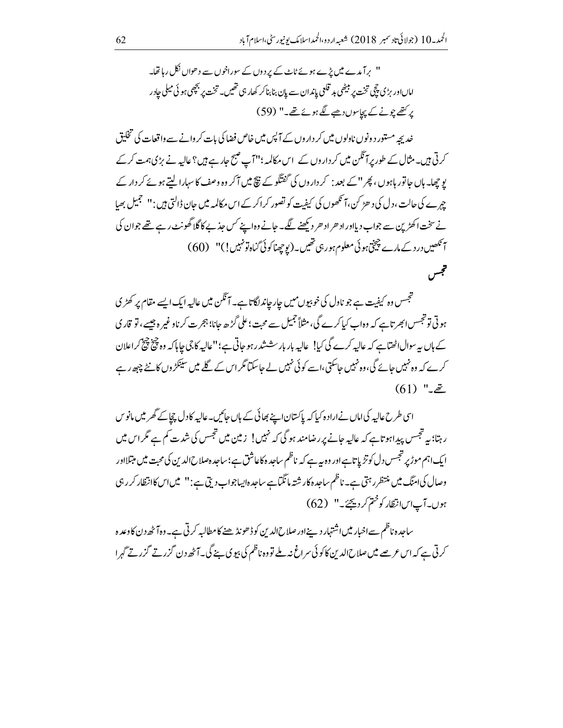'' برآ مدے میں پڑے ہوئے ٹاپ کے پر دوں کے سوراخوں سے دھواں نکل رہا تھا۔ اماںاور پڑی چچی تخت پر بنیٹھی بد قلعی پاندان سے پان بنا بنا کر کھار ہی تھیں۔ تخت پر بچھی ہو ئی میلی حاد ر پر کتھے چونے کے پیاسوں دھبے لگے ہوئے تھے۔" (59)

خدیجہ مستور د ونوں ناولوں میں کر داروں کے آپس میں خاص فضا کی بات کر وانے سے واقعات کی تخلیق کرتی ہیں۔مثال کے طور پرآگلن میں کر داروں کے اس مکالمہ ؛''آپ صبح جارہے ہیں؟عالیہ نے بڑی ہمت کرکے یو چھا۔ ہاں جاتور ہاہوں، پھر '' کے بعد : کر داروں کی گفتگو کے نتھ میں آکر وہ وصف کا سہارا لیتے ہوئے کر دار کے جہرے کی حالت ،دل کی د ھڑ <sup>ک</sup>ن،آنکھوں کی کیفیت کو تصور کراکر کے اس مکالمہ میں حان ڈالتی ہیں : '' تجمیل بھیا نے سخت اکھڑین سے جواب دیااور اد ھر اد ھر دیکھنے لگے۔ جانے وہ اپنے کس جذبے کاگلا گھونٹ رہے تھے جوان کی آ نکھیں درد کے مارے چیخ ہو ئی معلوم ہور ہی تھیں۔(یوچھناکوئی گناہ تو نہیں!)" (60) فتجس

تجسس وہ کیفیت ہے جو ناول کی خوبیوں میں چارجاند لگاتا ہے۔ آنگن میں عالیہ ایک ایسے مقام پر کھڑ ی ہوتی تو تجسس ابھر تاہے کہ وہاب کیاکرے گی، مثلاً جمیل سے محبت؛ علی گڑھ جانا؛ ہجرت کر ناوغیر ہ جیسے، تو قار کی کے ہاں یہ سوال اٹھتاہے کہ عالیہ کرے گی کیا! عالیہ بار بار سششدر ہو جاتی ہے؛''عالیہ کا جی حاما کہ وہ پیچ پیچ کراعلان کرے کہ وہ نہیں جائے گی،وہ نہیں جاسکتی،اسے کوئی نہیں لے جاسکتا مگراس کے گلے میں سینکڑ وں کانٹے چپھ رہے  $(61)$  " $\tilde{z}$ 

اسی طرح عالیہ کی اماں نے ارادہ کیا کہ پاکستان اپنے بھائی کے ہاں جائیں۔عالیہ کادل چچاکے گھر میں مانو س ر ہتا؛ یہ تجسس پیداہوتاہے کہ عالیہ جانے پر رضامند ہو گی کہ نہیں! زمین میں تجسس کی شدت کم ہے گر اس میں ایک اہم موڑ پر تجسس دل کوتڑیا تاہےاور وہ یہ ہے کہ ناظم ساحدہ کاعاشق ہے؛ساحد ہصلاح الدین کی محبت میں مبتلااور وصال کی امنگ میں منتظرر ہتی ہے۔ ناظم ساجدہ کار شتہ مانگماہے ساجدہ ایساجواب دیتی ہے : '' میں اس کاانتظار کرر ہی ہوں۔آپ اس انتظار کو ختم کر دیجئے۔" (62)

ساجدہ ناظم سےاخبار میں اشتہار دینےاور صلاح الدین کو ڈھونڈ ھنے کامطالبہ کرتی ہے۔وہآ ٹھ دن کاوعدہ کرتی ہے کہ اس عرصے میں صلاح الدین کا کوئی سراغ نیہ ملے تووہ ناظم کی بیوی بنے گی۔آٹھ دن گزرتے گزرتے گہرا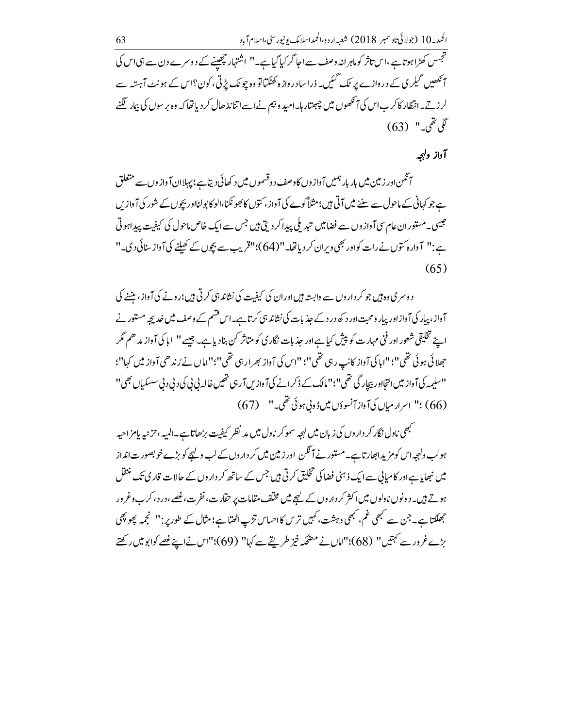تجسس کھڑاہوتاہے ،اس تاثر کو ماہرانہ وصف سے اجا گر کیا گیاہے۔'' اشتہار چھپنے کے دوسرے دن سے ہی اس کی ہ <sup>ت</sup>کھیں گیلر پی کے دروازے پر ٹک گئیں۔ ذراسادر وازہ کھٹکتا تو وہ چونک پڑتی، کون؟اس کے ہونٹ آہستہ سے لر زیتے۔انتظار کاکر ب اس کی آنکھوں میں چھتار ہا۔امید و بیم نے اسے اتنانڈ ھال کر دیا تھا کہ وہ بر سوں کی بیار لگنے  $(63)$  "  $\tilde{\mathscr{S}}$ 

# آواز ولہجہ

آئگن اور زمین میں بار بار ہمیں آوازوں کاوصف دوقسموں میں د کھائی دیتاہے؛ بہلاان آوازوں سے متعلق ہے جو کہانی کے ماحول سے سننے میں آتی ہیں؛مثلاً کوے کی آ داز، کتوں کا بھو نکنا،الو کا پولنااور بیچوں کے شور کی آ واز س جیسی۔مستور ان عام سی آواز وں سے فضامیں تیدیلی پیدا کر دیتی ہیں جس سے ایک خاص ماحول کی کیفیت پیداہو تی ہے:" آوارہ کتوں نےرات کواور بھی ویران کر دیاتھا۔"(64)؛"قریب سے بچوں کے کھیلنے کی آواز سنائی دی۔"  $(65)$ 

د وسر ی وہ ہیں جو کر دار وں سے وابستہ ہیں اور ان کی کیفیت کی نشاند ہی کرتی ہیں؛ رونے کی آواز ، بنننے کی آواز، پیار کی آوازادر پیار ومحبت اور د کھ در د کے جذبات کی نشاند ہی کرتاہے۔اس قسم کے وصف میں خدیجہ مستور نے اپنے تخلیقی شعور اور فنی مہارت کو پیش کیا ہے اور جذبات نگار کی کو متاثر کن بنادیا ہے۔ جیسے '' ایا کی آ واز مدھم مگر جھلائی ہوئی تھی''؛''اہا کی آواز کانپ رہی تھی''؛''اس کی آواز بھرار ہی تھی''؛'' اماں نے رُندھی آواز میں کہا''؛ ''سلیمہ کی آواز میں التجااور بیچار گی تھی''؛''مالک کے ڈکرانے کی آوازیں آر ہی تھیں خالہ پی پی کی د پی د پی سسکیاں بھی'' (66) ؛" اسرار میاں کی آواز آنسوؤں میں ڈوبی ہوئی تھی۔" (67)

مہمی ناول نگار کر دار وں کی زبان میں لہجہ سموکر ناول میں مد نظر کیفیت بڑھاتاہے۔المیہ ،حزنیہ پامزاحیہ ہولب ولہجہ اس کومزیداںچارتاہے۔مستور نے آنگن اور زمین میں کر داروں کے لب ولہجے کو بڑے خوبصور ت انداز میں نبھایاہے اور کامیابی سے ایک ذہنی فضا کی تخلیق کرتی ہیں جس کے ساتھ کر داروں کے حالات قار کی تک منتقل ہوتے ہیں۔دونوں نادلوں میں اکثر کر داروں کے لیجے میں مختلف مقامات پر حقارت، نفرت،غصے،در د، کرب وغرور جھلکتا ہے۔ جن سے کبھی غم، کبھی دہشت،کہیں تریں کااحساس تڑپ اٹھتا ہے؛ مثال کے طورپر : " نجمہ پھو پھی بڑے غرورسے کہتیں" (68)؛"اماں نے مصحکہ خیز طریقے سے کہا" (69)؛"اس نےاپنے غصے کوابومیں رکھتے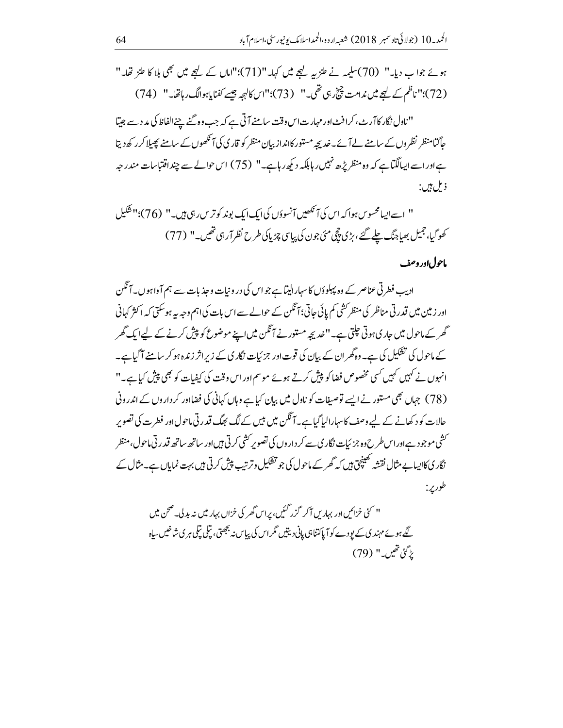ہوئے جواب دیا۔" (70)سلیمہ نے طنز یہ کہجے میں کہا۔"(71)؛"اماں کے لہجے میں بھی بلا کا طنز تھا۔" (72)؛" ناظم کے لیچے میں ندامت چیخ رہی تھی۔" (73)؛"اس کالہجہ جیسے کفنا پاہوالگ رہاتھا۔" (74)

''ناول نگار کاآرٹ، کرافٹ اور مہارت اس وقت سامنے آتی ہے کہ جب وہ گئے چنے الفاظ کی مد دسے جیتا ۔<br>جاگنامنظر نظروں کے سامنے لے آئے۔خدیجہ مستور کانداز بیان منظر کو قار کی کی آنکھوں کے سامنے پھیلا کر رکھ دیتا ہےاور اسے ایپالگتاہے کہ وہ منظر پڑھ نہیں رہابلکہ دیکھ رہاہے۔" (75) اس حوالے سے چنداقتیاسات مندر جہ ذيل ہيں:

" اسے ایپامحسوس ہوا کہ اس کی آنکھیں آنسوؤں کی ایک ایک بوند کو تر س رہی ہیں۔" (76)؛"شکیل کھوگیا، جمیل بھیاجنگ چلے گئے، بڑی پچچ مئی جون کی پیاسی چڑیا کی طرح نظر آر ہی تھیں۔" (77)

#### ماحول اور وصف

ادیب فطرتی عناصر کے وہ پہلوؤں کا سہارالیتا ہے جو اس کی درونیات و جذبات سے ہم آواہوں۔آئکن اور زمین میں قدرتی مناظر کی منظر کشی کم پائی جاتی؛ آگلن کے حوالے سے اس بات کی اہم وجہ بیہ ہوسکتی کہ اکثر کہانی گھر کے ماحول میں جاری ہوتی جلتی ہے۔"غدیجہ مستور نے آنگن میں اپنے موضوع کو پیش کرنے کے لیےایک گھر کے ماحول کی تشکیل کی ہے۔ وہ گھران کے بیان کی قوت اور جزئیات نگاری کے زیر اثر زندہ ہو کر سامنے آ گیا ہے۔ انہوں نے کہیں کہیں کسی مخصوص فضا کو پیش کرتے ہوئے موسم اور اس وقت کی کیفیات کو بھی پیش کیا ہے۔" (78) جہاں بھی مستور نے ایسے توصیفات کو ناول میں بیان کیا ہے وہاں کہانی کی فضااور کر داروں کے اندرونی حالات کو د کھانے کے لیے وصف کاسہارالیا گیاہے۔آنگن میں بیس کے لگ بھگ قدر تی ماحول اور فطرت کی تصویر ۔<br>سشی موجود ہےاوراس طرح وہ جزئیات نگار <sub>کی سے</sub> کر داروں کی تصویر کشی کرتی <del>ہ</del>یںاور ساتھ ساتھ قدرتی ماحول،منظر نگار ی کااپیابے مثال نقشہ تھینچق ہیں کہ گھر کے ماحول کی جو تفکیل وترتیب پیش کرتی ہیں بہت نمایاں ہے۔مثال کے طور پر :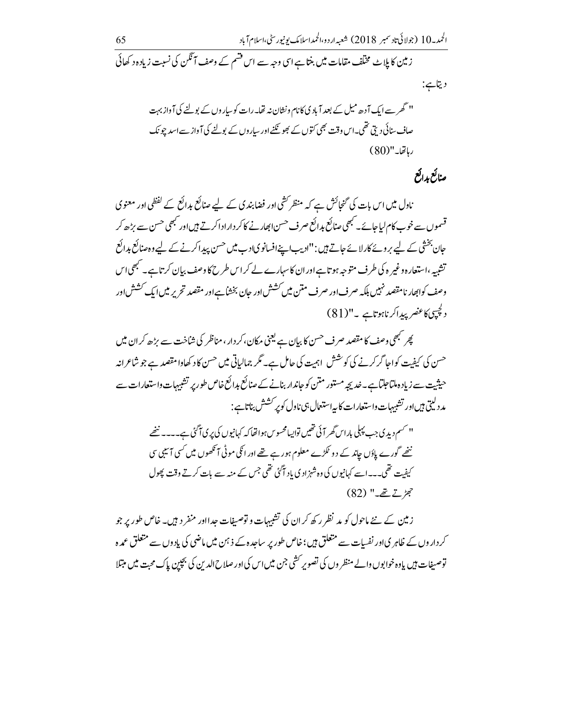## صنائع بدائع

ناول میں اس بات کی گنجائش ہے کہ منظر کشی اور فضابندی کے لیے صنائع بدائع کے لفظی اور معنوی ۔<br>قسموں سے خوب کام لیاجائے۔ کبھی صنائع بدائع صرف حسن ابھارنے کاکر دارادا کرتے ہیںاور کبھی حسن سے بڑھ کر جان بخشی کے لیے بروئے کارلائے جاتے ہیں : "ادیب اپنےافسانویادب میں حسن پیداکرنے کے لیے وہ صنائع بدائع تشبیہ ،استعارہ و غیر ہ کی طرف متوجہ ہوتا ہےاور ان کاسہارے لے کراس طرح کا دصف بیان کرتا ہے۔ مجھی اس وصف کوابھار نامقصد نہیں بلکہ صرف اور صرف متن میں کشش اور جان بخشاہے اور مقصد تحریر میں ایک کشش اور دلچپی)کاعنصر پیداکر ناہوتاہے ۔"(81)

پھر <sup>کب</sup>ھی وصف کا مقصد صرف حسن کا بیان ہے یعنی مکان، کر دار، مناظر کی شاخت سے بڑھ کر ان میں حسن کی کیفیت کواجا گرکرنے کی کوشش اہمیت کی حامل ہے۔ گر جمالیاتی میں حسن کاد کھاوامقصد ہے جو شاعرانہ حیثیت سے زیادہ ملتاحلتاہے۔خدیجہ مستور متن کو جاندار بنانے کے صنائع ہدائع خاص طور پر تشبیہات واستعارات سے مد دلیتی بیںاور تشبیہات واستعارات کا پہ استعال ہی ناول کوپر حشش بناناہے :

'' سم دیدی جب پہلی باراس گھر آئی تھیں تواپیامحسوس ہواتھا کہ کہانیوں کی پری آگیٰ ہے۔۔۔۔ ننھے ننھے گورے پاؤں جاند کے دو ٹکڑے معلوم ہورہے تھے اور انکی موٹی آنکھوں میں کسی آئیبی سی کیفیت تھی۔۔اسے کہانیوں کی وہ شہزادی یاد آگئی تھی جس کے منہ سے بات کرتے وقت پھول  $(82)$  " $\xrightarrow{\vec{z}}$   $\xrightarrow{z}$   $\cancel{z}$ 

زمین کے نئے ماحول کو مد نظر رکھ کر ان کی تشبیہات و توصیفات جدااور منفر دیں۔ خاص طور پر جو کر داروں کے ظاہر یااور نفسات سے متعلق ہیں؛خاص طور پر ساحدہ کے ذہن میں ماضی کی بادوں سے متعلق عمدہ توصیفات ہیں یاوہ خوابوں والے منظر وں کی تصویر کشی جن میں اس کی اور صلاح الدین کی بچپن پاک محبت میں مبتلا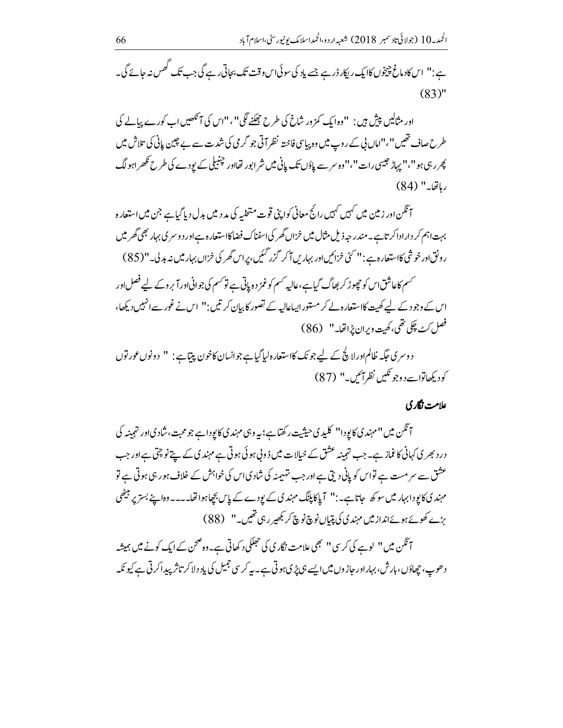ہے : " اس کادماغ چیخوں کاایک ریکار ڈرہے جسے باد کی سوئی اس وقت تک بحاتی رہے گی جب تک گھس نہ جائے گی۔  $(83)$ "

اور مثالیں پیش ہیں : "وہ ایک کمز ور شاخ کی طرح چھکنے لگی" ، "اس کی آنکھیں اب کورے پہالے کی طرح صاف تھیں ''،''اماں پی کے روپ میں وہ یہاسی فاحیتہ نظر آتی جو گرمی کی شدت سے بے چین پانی کی تلاش میں پھر رہی ہو "،" پہاڑ حبیبی رات "،"وہ سر سے پاؤں تک پانی میں شر ابور تھااور چنبیلی کے بودے کی طرح ٹکھراہولگ رہاتھا۔" (84)

آئگن اور زمین میں کہیں کہیں رائج معانی کواپنی قوت متخلیہ کی مدد میں بدل دیا گیاہے جن میں استعارہ بہت اہم کر داراداکر تاہے۔مندر حبہ ذیل مثال میں خزاں گھر کی اسفناک فضاکااستعار ہےاور دوسری بہار بھی گھر میں ر ونق اور خوشی کااستعار ہ ہے : '' کئی خزائیں اور بہاریں آکر گزر گئیں،پراس گھر کی خزاں بہار میں نہ بدلی۔''( 85)

حسم کاعاشق اس کو چھوڑ کر بھاگ گیاہے،عالیہ حسم کوغمز دہ پاتی ہے تو حسم کی جوانی اور آ بر وکے لیے فصل اور اس کے وجود کے لیے کھیت کااستعارہ لے کر مستوراپیاعالیہ کے تصور کا بیان کرتیں : " اس نے غور سے انہیں دیکھا، فصل کڻ چکي تھي، ڪهيت ويران پُراتھا۔" (86)

دوسری عَکَہ ظالم اور لا گچ کے لیے جو نک کااستعارہ لیاگیاہے جوانسان کاخون پیتاہے : " دونوں عور توں كوديكھاتواسے دوجو نكيں نظرائيں۔" (87)

#### علامت نگار کې

آنگن میں ''مہند یکایودا'' کلیدی حیثیت رکھتاہے؛ بیہ وہی مہند یکایودا ہے جو محبت، شاد یااور تہمینہ کی در دبھر کی کہانی کا غماز ہے۔جب تہمینہ عشق کے خیالات میں ڈونی ہو ئی ہوتی ہے مہند کی کے پتے نو چتی ہے اور جب عشق سے سر مست ہے تواس کو پانی دیتی ہے اور جب تہیمنہ کی شاد کیاس کی خواہش کے خلاف ہور ہی ہو ٹی ہے تو مہند کی کا یودا بہار میں سو کھ جاتا ہے۔:" آ پاکا پلنگ مہند ک کے یودے کے پاس بچھاہوا تھا۔۔۔۔وہ اپنے بستر پر بیٹھی بڑے کھوئے ہوئےانداز میں مہند کی کی پتیاں نوچ نوچ کر بھیر رہی تھیں۔" (88)

آنگن میں '' لوے کی کرسی '' نجھی علامت نگاری کی حجلکی د کھاتی ہے۔وہ صحن کے ایک کونے میں ہمیشہ د ھوپ، چھاؤں، بارش، بہاراور حاڑوں میں ایسے ہی پڑی ہوتی ہے۔ یہ کرسی جمیل کی یاد دلا کر تاثر پیدا کرتی ہے کیونکہ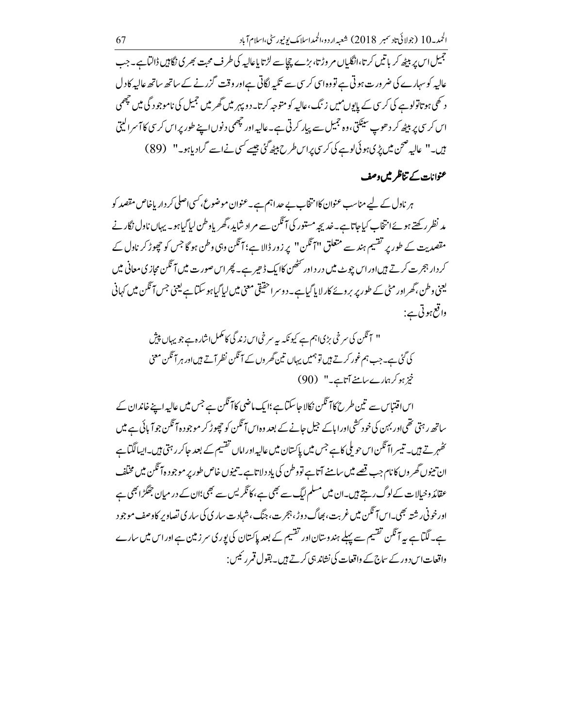جمیل اس پر بیٹھ کر باتیں کرتا،انگلیاں مر وڑتا، بڑے چ<u>ک</u>اسے لڑتا پاعالیہ کی طرف محبت بھر کی نگا<del>ی</del>ں ڈالٹاہے۔جب عالیہ کو سہارے کی ضر ورت ہوتی ہے تو وہ اسی کر سی سے تکبہ لگاتی ہے اور وقت گزرنے کے ساتھ ساتھ عالیہ کادل د تھی ہو تاتولوہے کی کر سی کے پایوں میں زنگ،عالیہ کو متوجہ کرتا۔دو پہر میں گھر میں جمیل کی ناموجود گی میں چھمی اس کر سی پر ببیٹھ کر دھوپ سینکتی، وہ جمیل سے پیار کرتی ہے۔ عالیہ اور چھمی دنوں اپنے طور پر اس کر سی کا آ سر الیتی ہیں۔" عالیہ صحن میں پڑیہوئی لوہے کی کریں پراس طرح بیٹھ گئی جیسے کسی نےاسے گرادیاہو۔" (89)

## عنوانات کے تناظر میں وصف

ہر ناول کے لیے مناسب عنوان کاانتخاب بے حداہم ہے۔عنوان موضوع،کسی اصلی کر دار پاخاص مقصد کو مد نظرر کھتے ہوئےا نتخاب کیاجاتا ہے۔خدیجہ مستور کی آنگن سے مراد شاید،گھریاوطن لیاگیاہو۔ یہاں ناول نگار نے مقصدیت کے طور پر تقسیم ہند سے متعلق ''آ ٹکن'' پر زور ڈالا ہے؛آ ٹکن وہی وطن ہو گا جس کو چچوڑ کر ناول کے کر دار ہجر ت کرتے ہیںاور اس چوٹ میں در داور حصٰ کاایک ڈھیر ہے۔ پھر اس صورت میں آ<sup>م</sup>گن محازی معانی میں یعنی وطن، گھراور مٹی کے طور پر بروئے کار لایا گیاہے۔ دوسراحقیقی معنی میں لیا گیاہو سکتا ہے یعنی جس آ ٹکن میں کہانی واقع ہوتی ہے:

اس اقتباس سے تین طرح کا آنگن نکالا جاسکتاہے ؛ایک ماضی کا آنگن ہے جس میں عالیہ اپنے خاندان کے ساتھ رہتی تھی اور بہن کی خود کشی اوراپاکے جیل جانے کے بعد وہاس آنگن کو چھوڑ کر موجود ہ7نگن جوآ پائی ہے میں ۔<br>تھمبر تے ہیں۔ تیسر اآ ٹکن اس حویلی کا ہے جس میں پاکستان میں عالیہ اور اماں تقسیم کے بعد جاکر رہتی ہیں۔ایسالگتا ہے ان تبنوں گھر وں کا نام جب قصے میں سامنے آتاہے تووطن کی یاد دلاتا ہے۔تبنوں خاص طور پر موجود ہ7 تکن میں مختلف عقائد وخیالات کے لوگ رہتے ہیں۔ان میں مسلم ایگ سے بھی ہے،کا نگر یس سے بھی؛ان کے در میان جھگڑا بھی ہے اور خونی ر شته بھی۔اس آنگن میں غربت، بھاگ دوڑ، ہجر ت، جنگ، شہاد ت ساری کی ساری تصاویر کاوصف موجود ہے۔لگتاہے پیہ آئگن تقسیم سے پہلے ہندوستان اور تقسیم کے بعد پاکستان کی پوری سر زمین ہے اور اس میں سارے واقعات اس دور کے ساج کے واقعات کی نشاند ہی کرتے ہیں۔بقول قمر رئیس :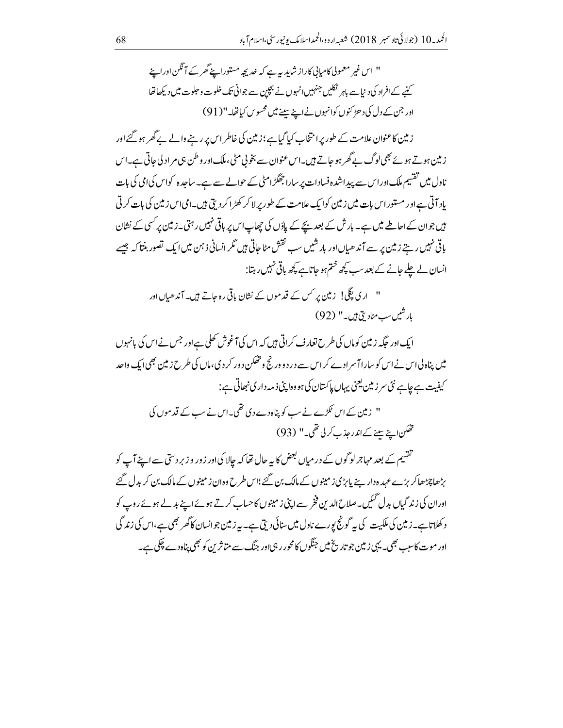" اس غیر معمولی کامبانی کاراز شاید یہ ہے کہ خدیجہ مستوراۓ گھر کے آئگن اور اپنے کنے کے افراد کی دیاہے باہر نکلیں جنہیں انہوں نے بچپن سے جوانی تک خلوت و حلوت میں دیکھاتھا اور جن کے دل کی د ھڑ کنوں کوانہوں نے اپنے پہنے میں محسوس کیاتھا۔" (91)

ز مین کاعنوان علامت کے طور پرا نتخاب کیا گیاہے؛زمین کی خاطر اس پر رہنے والے بے گھر ہو گئے اور زمین ہوتے ہوئے بھی لوگ بے گھر ہو جاتے ہیں۔اس عنوان سے بخوبی مٹی، ملک اور وطن ہی مر اد لی جاتی ہے۔اس ناول میں تقسیم ملک اوراس سے پیداشدہ فسادات پر سارا جھگڑامٹی کے حوالے سے ہے۔ساجدہ کواس کیامی کی بات یاد آتی ہےاور مستور اس بات میں زمین کوایک علامت کے طور پر لا کر کھڑا کر دیتی ہیں۔امی اس زمین کی بات کرتی ہیں جوان کے احاطے میں ہے۔ بار ش کے بعد بچے کے پاؤں کی چھاپ اس پر باقی نہیں رہتی۔زمین پر کسی کے نشان ہاقی نہیں رہتے زمین پر سے آند ھیاں اور بار شیں سب نقش مٹا جاتی ہیں گر انسانی ذہن میں ایک تصور بنتا کہ جیسے انسان لے چلے جانے کے بعد سب پچھ ختم ہو جاتاہے کچھ ہاتی نہیں رہتا:

> " اری پگلی! زمین بر کس کے قدموں کے نشان باقی رہ جاتے ہیں۔ آندھیاں اور بارشیں سب مٹادیخ ہیں۔" (92)

ایک اور جگہ زمین کوماں کی طرح تعارف کراتی ہیں کہ اس کی آغوش کھلی ہے اور جس نے اس کی پانہوں میں پناہ لی اس نے اس کو ساراآ سر ادے کر اس سے در د و ورنج و تھکن د ور کر دی، ماں کی طرح زمین بھی ایک واحد کیفیت ہے جاہے نئی سر زمین یعنی یہاں پاکستان کی ہو وہ اپنی ذمہ داری نبھاتی ہے :

" زمین کے اس ٹکڑے نے سب کو پناہ دے دی تھی۔اس نے سب کے قدموں کی تھکن اپنے سنے کےاندر حذب کر لی تھی۔" (93)

تقسیم کے بعد مہاجرلو گوں کے در میاں بعض کا بہ حال تھا کہ جالا کی اور زور و زبر دستی سے اپنے آپ کو بڑھاچڑھاکر بڑے عہد ہ دار سے پابڑی زمینوں کے مالک بن گئے؛اس طرح وہ ان زمینوں کے مالک بن کریدل گئے اوران کی زند گیاں بدل گئیں۔صلاح الدین فخر سے اپنی زمینوں کا حساب کرتے ہوئے اپنے بدلے ہوئے روپ کو د کھلاتاہے۔زمین کی ملکیت کی بیر گونج پورے ناول میں سنائی دیتی ہے۔ بیرز مین جوانسان کاگھر بھی ہے،اس کی زند گی اور موت کاسب بھی۔ یہی زمین جو تاریخ میں جنگوں کا محور رہی اور جنگ سے متاثر بن کو بھی پناہ دے چکی ہے۔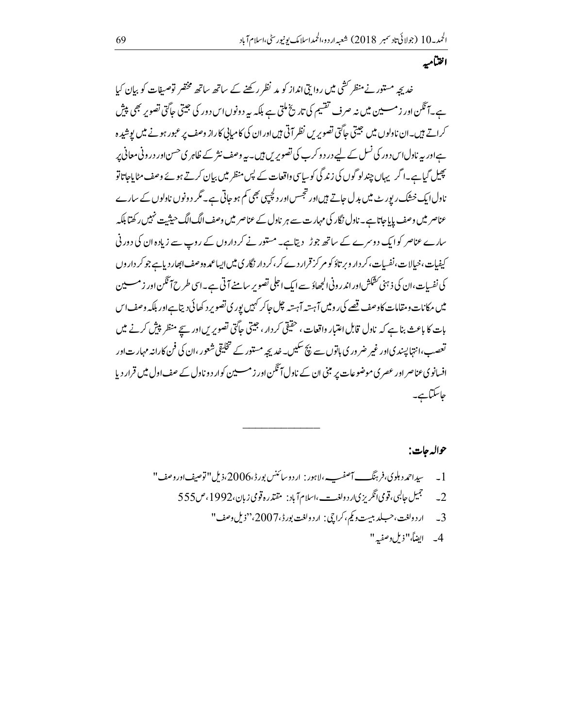اختاميه

خد بچہ مستور نے منظر کشی میں روا بی انداز کو مد نظر رکھنے کے ساتھ ساتھ مختصر توصیفات کو بیان کیا ہے۔آنگن اور زمسسین میں نہ صرف تقسیم کی تاریخ ملتی ہے بلکہ یہ دونوں اس دور کی جیتی جاگتی تصویر بھی پیش کراتے ہیں۔ان نادلوں میں جیتی جاگتی تصویریں نظر آتی ہیںاوران کی کامیابی کاراز وصف پر عبور ہونے میں پوشیدہ ہےاور یہ ناول اس دور کی نسل کے لیے در د وکرے کی تصویر س ہیں۔ یہ وصف نثر کے ظاہر ی حسن اور در ونی معانی پر پھیل گیاہے۔اگر یہاں چندلو گوں کی زند گی کوسایپی واقعات کے پس منظر میں بیان کرتے ہوئے وصف مٹایاجاتاتو ناول ایک خشک رپورٹ میں بدل جاتے ہیں اور تجسس اور دکچیپی بھی کم ہو جاتی ہے۔ مگر د ونوں ناولوں کے سارے عناصر میں وصف پاباجاتاہے۔ ناول نگار کی مہارت سے ہر ناول کے عناصر میں وصف الگ الگ حیثیت نہیں رکھتا ہلکہ سارے عناصر کوایک دوسرے کے ساتھ جوڑ دیتاہے۔ مستور نے کر داروں کے روپ سے زیادہ ان کی دورنی کیفیات،خیالات،نفسات،کر دار ویر تاؤ کو مر کز قرار دے کر ،کر دار نگار <mark>ی میں ایساعمد ہ</mark> وصف ابھار دیاہے جو کر داروں کی نفسات،ان کی ذہنی کشکش اور اندر ونی الجھاؤ سے ایک اجلی تصویر سامنے آتی ہے۔اسی طرح آتکن اور زمسےین میں مکانات ومقامات کاوصف قصے کی رومیں آہستہ آہستہ چل جاکر کہیں یور ی تصویر د کھائی دیتاہےاور بلکہ وصف اس بات کا باعث بناہے کہ نادل قابل اعتبار واقعات ، حقیقی کردار ، جیتی جاگتی تصویریں اور سیچے منظر پیش کرنے میں ۔<br>تعصب، انتہالینیدیاور غیر ضر وری ہاتوں سے بیچ سکیں۔خدیجہ مستور کے تخلیقی شعور ،ان کی فن کارانہ مہارت اور افسانوی عناصر اور عصر ی موضوعات پر مبنی ان کے ناول آنگین اور زمسسین کوار د و ناول کے صف اول میں قرار دیا حاسكتاب\_

حواله جات:

1 \_\_\_\_سداحمد دہلوی،فرہنگ\_ آصفـ\_،لاہور : ارد وسائنس بورڈ،2006،ذیل''توصیفاور وصف'' خمچمیل جالبی، قومی انگریزی <sub>ا</sub>ر د ولغ<u>ه --</u> ،اسلام آباد : مقتدره قومی زبان،1992، ص555  $-2$ 3\_ اردولغت،حسلد بيت وكي،كراجي: اردولغت بورڈ،2007،"ذيل وصف" 4\_ ايضاً،"زيل دصفيه"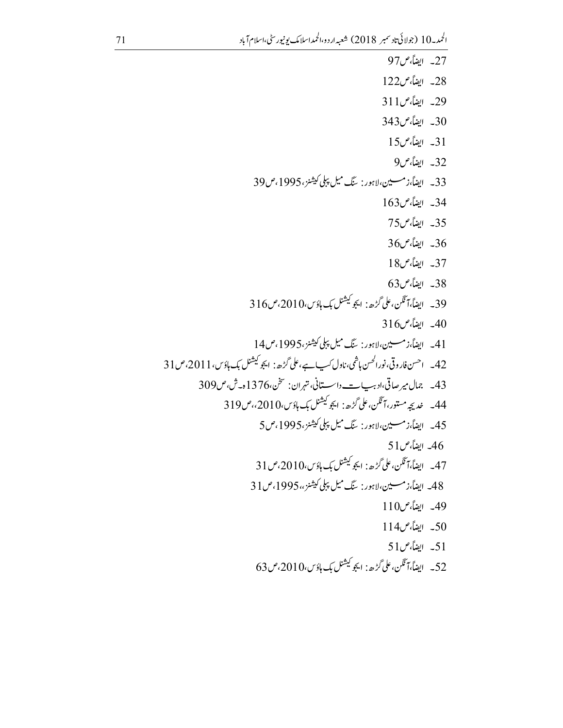27\_ ايضاً، ص97 28- ايضاً، ص122 29- ايضاً، ص311 343\_ ايضاً، ص343 31\_ ايضاً،ص15 32\_ ايضاً، ص9 33\_ ايضاً،زمسين،لاہور: ينگ ميل پبلي كيشنز،1995،ص39 34\_ ايضاً، ص163 35\_ ايضاً، ص75 36\_ ايضاً، ص36 37\_ ايضاً،ص18  $63$ - ايضاً، ص $38$ 39\_ ايضاً،آئَكن،على گڑھ: ايجوڭيشنل بك ہاؤس،2010،ص316 40\_ ابضاً، ص316 41\_ ايضاً،زمسين،لاہور: سگ ميل پپلي کيشنز،1995،ص14 42\_ احسن فار وقي،نورالحسن ہاشمي،ناول کپ ہے،على گڑھ: ايجو کيشنل بک ہاؤس، 1 201،ص31 43\_ جمال مير صاتي،ادبب \_\_\_\_ داسستاني، تهران: سخن،1376ه-ش، ص309 44\_ خديجه مستور،آئٽن،علي گُرُھ: ايجو کيشنل يک ہاؤس،2010،م ص319 45\_ ايضاً،زمسين،لاہور: ينگ ميل پېلى كيشنز،1995،ص5 ح46\_ ايضاً، ص51 $-46$ 47\_ ايضاً،آڭن، على گُرُھ: ايجوڭيشنل بك ماؤس،2010، ص31 48\_ ايضاً،زمسين،لاہور: سنگ ميل پېلى كيشنز،،1995،ص31 49\_ ايضاً،ص110 50\_ ايضاً،ص114  $51$  إيضاً، ص $51$ 52\_ ايضاً،آڭلن،على گڑھ: ايجوڭيشنل بك ہاؤس،2010،ص63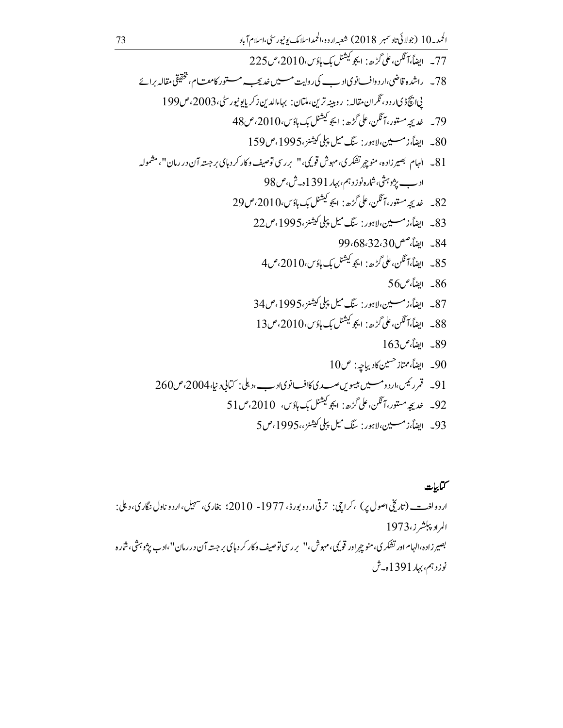كتابيات ار د ولغ<u>ه --</u> (تاريخي اصول پر) ،کراچي: ترقي ار د و بور<sup>ي</sup> ، 1977- 2010؛ بخاري، سهيل،ار د و ناول نگاري، د بلي: المراد پېشرز،1973 بصیر زاده،الهام اور تشکر ی، منوچپراور قویمی، مهوش،'' بررسی توصیف د کار کر د ہای بر جسته آن در رمان''،ادب پژو ہثی، شاره نوزد ہم، بہار 1391ہ۔ش